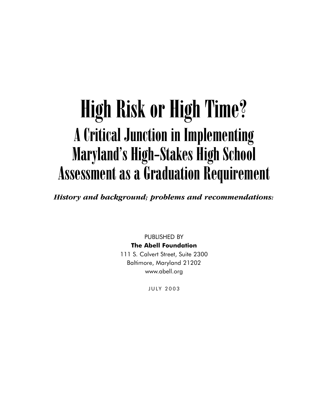# High Risk or High Time? A Critical Junction in Implementing Maryland's High-Stakes High School Assessment as a Graduation Requirement

*History and background; problems and recommendations:*

PUBLISHED BY **The Abell Foundation** 111 S. Calvert Street, Suite 2300 Baltimore, Maryland 21202 www.abell.org

JULY 2003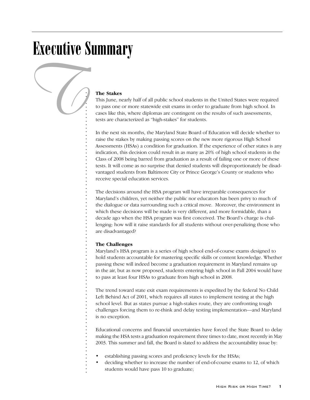## Executive Summary

*T*

## **The Stakes**

This June, nearly half of all public school students in the United States were required to pass one or more statewide exit exams in order to graduate from high school. In cases like this, where diplomas are contingent on the results of such assessments, tests are characterized as "high-stakes" for students.

In the next six months, the Maryland State Board of Education will decide whether to raise the stakes by making passing scores on the new more rigorous High School Assessments (HSAs) a condition for graduation. If the experience of other states is any indication, this decision could result in as many as 20% of high school students in the Class of 2008 being barred from graduation as a result of failing one or more of these tests. It will come as no surprise that denied students will disproportionately be disadvantaged students from Baltimore City or Prince George's County or students who receive special education services.

The decisions around the HSA program will have irreparable consequences for Maryland's children, yet neither the public nor educators has been privy to much of the dialogue or data surrounding such a critical move. Moreover, the environment in which these decisions will be made is very different, and more formidable, than a decade ago when the HSA program was first conceived. The Board's charge is challenging: how will it raise standards for all students without over-penalizing those who are disadvantaged?

## **The Challenges**

. . . . . . . . . . . . . . . . . . . . . . . . . . . . . . . . . . . . . . . . . . . . . . . . . . . . . . . . . . . . . . . . . . . . . . . . . . . . . . . .

Maryland's HSA program is a series of high school end-of-course exams designed to hold students accountable for mastering specific skills or content knowledge. Whether passing these will indeed become a graduation requirement in Maryland remains up in the air, but as now proposed, students entering high school in Fall 2004 would have to pass at least four HSAs to graduate from high school in 2008.

The trend toward state exit exam requirements is expedited by the federal No Child Left Behind Act of 2001, which requires all states to implement testing at the high school level. But as states pursue a high-stakes route, they are confronting tough challenges forcing them to re-think and delay testing implementation—and Maryland is no exception.

Educational concerns and financial uncertainties have forced the State Board to delay making the HSA tests a graduation requirement three times to date, most recently in May 2003. This summer and fall, the Board is slated to address the accountability issue by:

- establishing passing scores and proficiency levels for the HSAs;
- deciding whether to increase the number of end-of-course exams to 12, of which students would have pass 10 to graduate;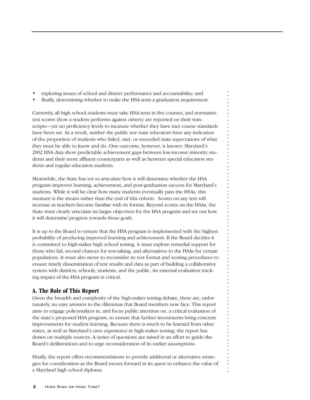- exploring issues of school and district performance and accountability; and
- finally, determining whether to make the HSA tests a graduation requirement.

Currently, all high school students must take HSA tests in five courses, and normative test scores (how a student performs against others) are reported on their transcripts—yet no proficiency levels to measure whether they have met course standards have been set. As a result, neither the public nor state educators have any indication of the proportion of students who failed, met, or exceeded state expectations of what they must be able to know and do. One outcome, however, is known: Maryland's 2002 HSA data show predictable achievement gaps between low-income minority students and their more affluent counterparts as well as between special education students and regular education students.

Meanwhile, the State has yet to articulate how it will determine whether the HSA program improves learning, achievement, and post-graduation success for Maryland's students. While it will be clear how many students eventually pass the HSAs, this measure is the means rather than the end of this reform. Scores on any test will increase as teachers become familiar with its format. Beyond scores on the HSAs, the State must clearly articulate its larger objectives for the HSA program and set out how it will determine progress towards those goals.

It is up to the Board to ensure that the HSA program is implemented with the highest probability of producing improved learning and achievement. If the Board decides it is committed to high-stakes high school testing, it must explore remedial support for those who fail, second chances for test-taking, and alternatives to the HSAs for certain populations. It must also move to reconsider its test format and scoring procedures to ensure timely dissemination of test results and data as part of building a collaborative system with districts, schools, students, and the public. An external evaluation tracking impact of the HSA program is critical.

. . . . . . . . . . . . . . . . . . . . . . . . . . . . . . . . . . . . . . . . . . . . . . . . . . . . . . . . . . . . . . . . . . . . . . . . . . . . . . . .

## **A. The Role of This Report**

Given the breadth and complexity of the high-stakes testing debate, there are, unfortunately, no easy answers to the dilemmas that Board members now face. This report aims to engage policymakers in, and focus public attention on, a critical evaluation of the state's proposed HSA program, to ensure that further investments bring concrete improvements for student learning. Because there is much to be learned from other states, as well as Maryland's own experience in high-stakes testing, the report has drawn on multiple sources. A series of questions are raised in an effort to guide the Board's deliberations and to urge reconsideration of its earlier assumptions.

Finally, the report offers recommendations to provide additional or alternative strategies for consideration as the Board moves forward in its quest to enhance the value of a Maryland high school diploma.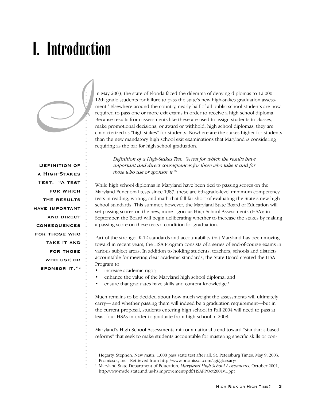# I. Introduction

*I*

In May 2003, the state of Florida faced the dilemma of denying diplomas to 12,000 12th grade students for failure to pass the state's new high-stakes graduation assessment.1 Elsewhere around the country, nearly half of all public school students are now required to pass one or more exit exams in order to receive a high school diploma. Because results from assessments like these are used to assign students to classes, make promotional decisions, or award or withhold, high school diplomas, they are characterized as "high-stakes" for students. Nowhere are the stakes higher for students than the new mandatory high school exit examinations that Maryland is considering requiring as the bar for high school graduation.

**Definition of a High-StakesTest: "A testfor which the resultshave importantand direct consequences for those whotake it and for those who use orsponsor it."2**

. . . . . . . . . . . . . . . . . . . . . . . . . . . . . . . . . . . . . . . . . . . . . . . . . . . . . . . . . . . . . . . . . . . . . . . . . . . . . . .

*Definition of a High-Stakes Test: "A test for which the results have important and direct consequences for those who take it and for those who use or sponsor it."2*

While high school diplomas in Maryland have been tied to passing scores on the Maryland Functional tests since 1987, these are 6th-grade-level minimum competency tests in reading, writing, and math that fall far short of evaluating the State's new high school standards. This summer, however, the Maryland State Board of Education will set passing scores on the new, more rigorous High School Assessments (HSA); in September, the Board will begin deliberating whether to increase the stakes by making a passing score on these tests a condition for graduation.

Part of the stronger K-12 standards and accountability that Maryland has been moving toward in recent years, the HSA Program consists of a series of end-of-course exams in various subject areas. In addition to holding students, teachers, schools and districts accountable for meeting clear academic standards, the State Board created the HSA Program to:

- increase academic rigor;
- enhance the value of the Maryland high school diploma; and
- ensure that graduates have skills and content knowledge.<sup>3</sup>

Much remains to be decided about how much weight the assessments will ultimately carry— and whether passing them will indeed be a graduation requirement—but in the current proposal, students entering high school in Fall 2004 will need to pass at least four HSAs in order to graduate from high school in 2008.

Maryland's High School Assessments mirror a national trend toward "standards-based reforms" that seek to make students accountable for mastering specific skills or con-

<sup>&</sup>lt;sup>1</sup> Hegarty, Stephen. New math: 1,000 pass state test after all. St. Petersburg Times. May 9, 2003.

<sup>2</sup> Promissor, Inc. Retrieved from http://www.promissor.com/cgi/glossary/

<sup>3</sup> Maryland State Department of Education, *Maryland High School Assessments*, October 2001, http:www/msde.state.md.us/hsimprovement/pdf/HSAPPOct2001v1.ppt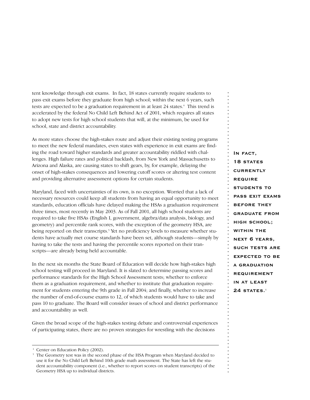tent knowledge through exit exams. In fact, 18 states currently require students to pass exit exams before they graduate from high school; within the next 6 years, such tests are expected to be a graduation requirement in at least 24 states.<sup>4</sup> This trend is accelerated by the federal No Child Left Behind Act of 2001, which requires all states to adopt new tests for high school students that will, at the minimum, be used for school, state and district accountability.

As more states choose the high-stakes route and adjust their existing testing programs to meet the new federal mandates, even states with experience in exit exams are finding the road toward higher standards and greater accountability riddled with challenges. High failure rates and political backlash, from New York and Massachusetts to Arizona and Alaska, are causing states to shift gears, by, for example, delaying the onset of high-stakes consequences and lowering cutoff scores or altering test content and providing alternative assessment options for certain students.

Maryland, faced with uncertainties of its own, is no exception. Worried that a lack of necessary resources could keep all students from having an equal opportunity to meet standards, education officials have delayed making the HSAs a graduation requirement three times, most recently in May 2003. As of Fall 2001, all high school students are required to take five HSAs (English I, government, algebra/data analysis, biology, and geometry) and percentile rank scores, with the exception of the geometry HSA, are being reported on their transcripts.<sup>5</sup> Yet no proficiency levels to measure whether students have actually met course standards have been set, although students—simply by having to take the tests and having the percentile scores reported on their transcripts—are already being held accountable.

In the next six months the State Board of Education will decide how high-stakes high school testing will proceed in Maryland. It is slated to determine passing scores and performance standards for the High School Assessment tests; whether to enforce them as a graduation requirement, and whether to institute that graduation requirement for students entering the 9th grade in Fall 2004; and finally, whether to increase the number of end-of-course exams to 12, of which students would have to take and pass 10 to graduate. The Board will consider issues of school and district performance and accountability as well.

Given the broad scope of the high-stakes testing debate and controversial experiences of participating states, there are no proven strategies for wrestling with the decisions

**In fact,**  18 STATES **currentlyrequire students topass exit examsbefore they graduate from high school; within the next 6 years,such tests are expected to be a graduation requirement in at least 24 STATES.**<sup>4</sup>

Center on Education Policy (2002).

<sup>5</sup> The Geometry test was in the second phase of the HSA Program when Maryland decided to use it for the No Child Left Behind 10th grade math assessment. The State has left the student accountability component (i.e., whether to report scores on student transcripts) of the Geometry HSA up to individual districts.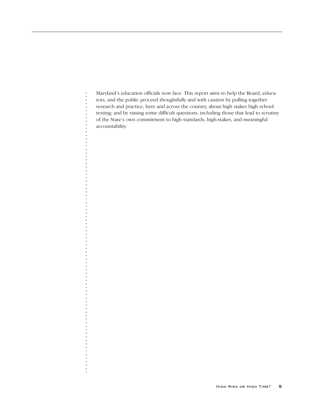Maryland's education officials now face. This report aims to help the Board, educators, and the public proceed thoughtfully and with caution by pulling together research and practice, here and across the country, about high stakes high school testing; and by raising some difficult questions, including those that lead to scrutiny of the State's own commitment to high standards, high-stakes, and meaningful accountability.

. . . . . . . . . . . . . . . . . . . . . . . . . . . . . . . . . . . . . . . . . . . . . . . . . . . . . . . . . . . . . . . . . . . . . . . . . . . . . . . .

÷,

l,

l,

 $\ddot{\cdot}$ 

 $\ddot{\cdot}$  $\ddot{\phantom{0}}$ J.

l,

 $\frac{1}{2}$  ,  $\frac{1}{2}$  ,  $\frac{1}{2}$  ,  $\frac{1}{2}$  ,  $\frac{1}{2}$  ,  $\frac{1}{2}$  ,  $\frac{1}{2}$  ,  $\frac{1}{2}$  ,  $\frac{1}{2}$ 

 $\frac{1}{2}$ 

l,

÷,

. . . . . . . . . .

 $\begin{array}{c} \n\cdot \\
\cdot \\
\cdot \\
\cdot\n\end{array}$ 

 $\frac{1}{2}$ l,  $\frac{1}{2}$ l, ÷,

×,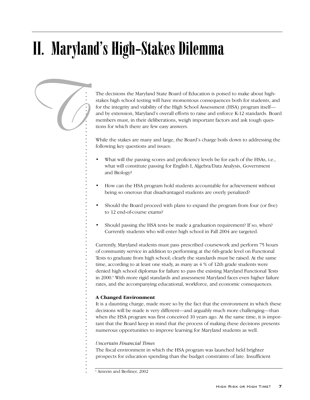# II. Maryland's High-Stakes Dilemma



The decisions the Maryland State Board of Education is poised to make about highstakes high school testing will have momentous consequences both for students, and for the integrity and viability of the High School Assessment (HSA) program itself and by extension, Maryland's overall efforts to raise and enforce K-12 standards. Board members must, in their deliberations, weigh important factors and ask tough questions for which there are few easy answers.

While the stakes are many and large, the Board's charge boils down to addressing the following key questions and issues:

- What will the passing scores and proficiency levels be for each of the HSAs, i.e., what will constitute passing for English I, Algebra/Data Analysis, Government and Biology?
- How can the HSA program hold students accountable for achievement without being so onerous that disadvantaged students are overly penalized?
- Should the Board proceed with plans to expand the program from four (or five) to 12 end-of-course exams?
- Should passing the HSA tests be made a graduation requirement? If so, when? Currently students who will enter high school in Fall 2004 are targeted.

Currently, Maryland students must pass prescribed coursework and perform 75 hours of community service in addition to performing at the 6th-grade level on Functional Tests to graduate from high school; clearly the standards must be raised. At the same time, according to at least one study, as many as 4 % of 12th grade students were denied high school diplomas for failure to pass the existing Maryland Functional Tests in 2000.6 With more rigid standards and assessment Maryland faces even higher failure rates, and the accompanying educational, workforce, and economic consequences.

## **A Changed Environment**

It is a daunting charge, made more so by the fact that the environment in which these decisions will be made is very different—and arguably much more challenging—than when the HSA program was first conceived 10 years ago. At the same time, it is important that the Board keep in mind that the process of making these decisions presents numerous opportunities to improve learning for Maryland students as well.

## *Uncertain Financial Times*

The fiscal environment in which the HSA program was launched held brighter prospects for education spending than the budget constraints of late. Insufficient

<sup>6</sup> Amrein and Berliner, 2002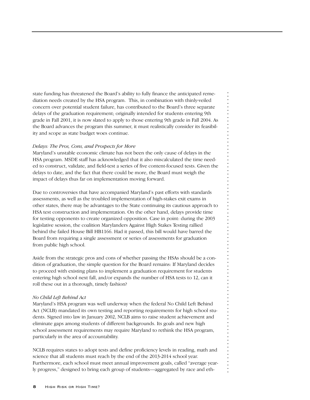state funding has threatened the Board's ability to fully finance the anticipated remediation needs created by the HSA program. This, in combination with thinly-veiled concern over potential student failure, has contributed to the Board's three separate delays of the graduation requirement; originally intended for students entering 9th grade in Fall 2001, it is now slated to apply to those entering 9th grade in Fall 2004. As the Board advances the program this summer, it must realistically consider its feasibility and scope as state budget woes continue.

## *Delays: The Pros, Cons, and Prospects for More*

Maryland's unstable economic climate has not been the only cause of delays in the HSA program. MSDE staff has acknowledged that it also miscalculated the time needed to construct, validate, and field-test a series of five content-focused tests. Given the delays to date, and the fact that there could be more, the Board must weigh the impact of delays thus far on implementation moving forward.

Due to controversies that have accompanied Maryland's past efforts with standards assessments, as well as the troubled implementation of high-stakes exit exams in other states, there may be advantages to the State continuing its cautious approach to HSA test construction and implementation. On the other hand, delays provide time for testing opponents to create organized opposition. Case in point: during the 2003 legislative session, the coalition Marylanders Against High Stakes Testing rallied behind the failed House Bill HB1166. Had it passed, this bill would have barred the Board from requiring a single assessment or series of assessments for graduation from public high school.

. . . . . . . . . . . . . . . . . . . . . . . . . . . . . . . . . . . . . . . . . . . . . . . . . . . . . . . . . . . . . . . . . . . . . . . . . . . . . . . .

Aside from the strategic pros and cons of whether passing the HSAs should be a condition of graduation, the simple question for the Board remains: If Maryland decides to proceed with existing plans to implement a graduation requirement for students entering high school next fall, and/or expands the number of HSA tests to 12, can it roll these out in a thorough, timely fashion?

## *No Child Left Behind Act*

Maryland's HSA program was well underway when the federal No Child Left Behind Act (NCLB) mandated its own testing and reporting requirements for high school students. Signed into law in January 2002, NCLB aims to raise student achievement and eliminate gaps among students of different backgrounds. Its goals and new high school assessment requirements may require Maryland to rethink the HSA program, particularly in the area of accountability.

NCLB requires states to adopt tests and define proficiency levels in reading, math and science that all students must reach by the end of the 2013-2014 school year. Furthermore, each school must meet annual improvement goals, called "average yearly progress," designed to bring each group of students—aggregated by race and eth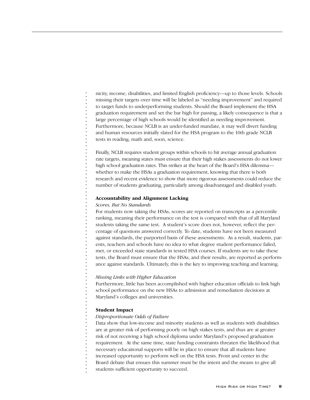nicity, income, disabilities, and limited English proficiency—up to those levels. Schools missing their targets over time will be labeled as "needing improvement" and required to target funds to underperforming students. Should the Board implement the HSA graduation requirement and set the bar high for passing, a likely consequence is that a large percentage of high schools would be identified as needing improvement. Furthermore, because NCLB is an under-funded mandate, it may well divert funding and human resources initially slated for the HSA program to the 10th grade NCLB tests in reading, math and, soon, science.

Finally, NCLB requires student groups within schools to hit average annual graduation rate targets, meaning states must ensure that their high stakes assessments do not lower high school graduation rates. This strikes at the heart of the Board's HSA dilemma whether to make the HSAs a graduation requirement, knowing that there is both research and recent evidence to show that more rigorous assessments could reduce the number of students graduating, particularly among disadvantaged and disabled youth.

### **Accountability and Alignment Lacking**

### *Scores, But No Standards*

. . . . . . . . . . . . . . . . . . . . . . . . . . . . . . . . . . . . . . . . . . . . . . . . . . . . . . . . . . . . . . . . . . . . . . . . . . . . . . . .

For students now taking the HSAs, scores are reported on transcripts as a percentile ranking, meaning their performance on the test is compared with that of all Maryland students taking the same test. A student's score does not, however, reflect the percentage of questions answered correctly. To date, students have not been measured against standards, the purported basis of these assessments. As a result, students, parents, teachers and schools have no idea to what degree student performance failed, met, or exceeded state standards in tested HSA courses. If students are to take these tests, the Board must ensure that the HSAs, and their results, are reported as performance against standards. Ultimately, this is the key to improving teaching and learning.

#### *Missing Links with Higher Education*

Furthermore, little has been accomplished with higher education officials to link high school performance on the new HSAs to admission and remediation decisions at Maryland's colleges and universities.

#### **Student Impact**

### *Disproportionate Odds of Failure*

Data show that low-income and minority students as well as students with disabilities are at greater risk of performing poorly on high stakes tests, and thus are at greater risk of not receiving a high school diploma under Maryland's proposed graduation requirement. At the same time, state funding constraints threaten the likelihood that necessary educational supports will be in place to ensure that all students have increased opportunity to perform well on the HSA tests. Front and center in the Board debate that ensues this summer must be the intent and the means to give all students sufficient opportunity to succeed.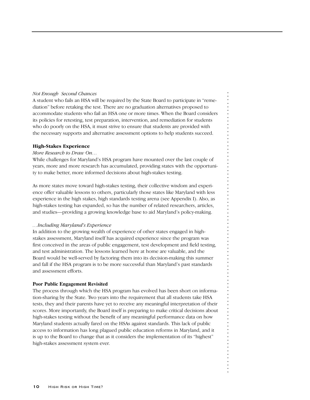## *Not Enough Second Chances*

A student who fails an HSA will be required by the State Board to participate in "remediation" before retaking the test. There are no graduation alternatives proposed to accommodate students who fail an HSA one or more times. When the Board considers its policies for retesting, test preparation, intervention, and remediation for students who do poorly on the HSA, it must strive to ensure that students are provided with the necessary supports and alternative assessment options to help students succeed.

## **High-Stakes Experience**

## *More Research to Draw On…*

While challenges for Maryland's HSA program have mounted over the last couple of years, more and more research has accumulated, providing states with the opportunity to make better, more informed decisions about high-stakes testing.

As more states move toward high-stakes testing, their collective wisdom and experience offer valuable lessons to others, particularly those states like Maryland with less experience in the high stakes, high standards testing arena (see Appendix I). Also, as high-stakes testing has expanded, so has the number of related researchers, articles, and studies—providing a growing knowledge base to aid Maryland's policy-making.

## *…Including Maryland's Experience*

In addition to the growing wealth of experience of other states engaged in highstakes assessment, Maryland itself has acquired experience since the program was first conceived in the areas of public engagement, test development and field testing, and test administration. The lessons learned here at home are valuable, and the Board would be well-served by factoring them into its decision-making this summer and fall if the HSA program is to be more successful than Maryland's past standards and assessment efforts.

. . . . . . . . . . . . . . . . . . . . . . . . . . . . . . . . . . . . . . . . . . . . . . . . . . . . . . . . . . . . . . . . . . . . . . . . . . . . . . . .

## **Poor Public Engagement Revisited**

The process through which the HSA program has evolved has been short on information-sharing by the State. Two years into the requirement that all students take HSA tests, they and their parents have yet to receive any meaningful interpretation of their scores. More importantly, the Board itself is preparing to make critical decisions about high-stakes testing without the benefit of any meaningful performance data on how Maryland students actually fared on the HSAs against standards. This lack of public access to information has long plagued public education reforms in Maryland, and it is up to the Board to change that as it considers the implementation of its "highest" high-stakes assessment system ever.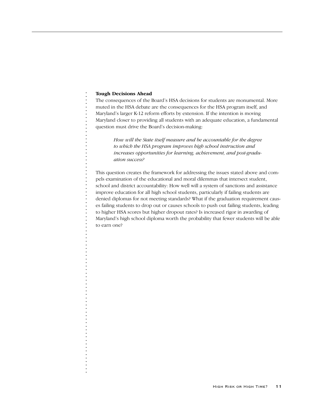## **Tough Decisions Ahead**

. . . . . . . . . . . . . . . . . . . . . . . . . . . . . . . . . . . . . . . . . . . . . . . . . . . . . . . . . . . . . . . . . . . . . . . . . . . . . . . .

The consequences of the Board's HSA decisions for students are monumental. More muted in the HSA debate are the consequences for the HSA program itself, and Maryland's larger K-12 reform efforts by extension. If the intention is moving Maryland closer to providing all students with an adequate education, a fundamental question must drive the Board's decision-making:

> *How will the State itself measure and be accountable for the degree to which the HSA program improves high school instruction and increases opportunities for learning, achievement, and post-graduation success?*

This question creates the framework for addressing the issues stated above and compels examination of the educational and moral dilemmas that intersect student, school and district accountability: How well will a system of sanctions and assistance improve education for all high school students, particularly if failing students are denied diplomas for not meeting standards? What if the graduation requirement causes failing students to drop out or causes schools to push out failing students, leading to higher HSA scores but higher dropout rates? Is increased rigor in awarding of Maryland's high school diploma worth the probability that fewer students will be able to earn one?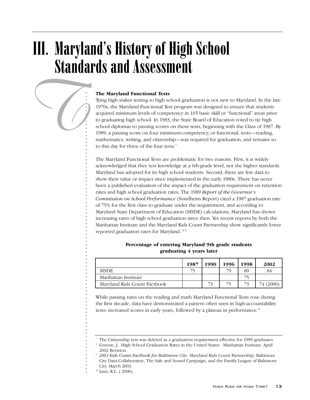## III. Maryland's History of High School Standards and Assessment



## **The Maryland Functional Tests**

Tying high stakes testing to high school graduation is not new to Maryland. In the late 1970s, the Maryland Functional Test program was designed to ensure that students acquired minimum levels of competency in 165 basic skill or "functional" areas prior to graduating high school. In 1983, the State Board of Education voted to tie high school diplomas to passing scores on these tests, beginning with the Class of 1987. By 1989, a passing score on four minimum-competency, or functional, tests—reading, mathematics, writing, and citizenship—was required for graduation, and remains so to this day for three of the four tests.<sup>7</sup>

The Maryland Functional Tests are problematic for two reasons. First, it is widely acknowledged that they test knowledge at a 6th-grade level, not the higher standards Maryland has adopted for its high school students. Second, there are few data to show their value or impact since implemented in the early 1980s. There has never been a published evaluation of the impact of the graduation requirement on retention rates and high school graduation rates. The 1989 *Report of the Governor's Commission on School Performance* (Sondheim Report) cited a 1987 graduation rate of 75% for the first class to graduate under the requirement, and according to Maryland State Department of Education (MSDE) calculations, Maryland has shown increasing rates of high school graduation since then. Yet recent reports by both the Manhattan Institute and the Maryland Kids Count Partnership show significantly lower reported graduation rates for Maryland. 8/9

|                              | 1987 | 1990 | 1996 | 1998 | 2002      |
|------------------------------|------|------|------|------|-----------|
| <b>MSDE</b>                  |      |      | 70   | 80   | 84        |
| Manhattan Institute          |      |      |      |      |           |
| Maryland Kids Count Factbook |      | 73   |      | 73   | 74 (2000) |

## **Percentage of entering Maryland 9th grade students graduating 4 years later**

While passing rates on the reading and math Maryland Functional Tests rose during the first decade, data have demonstrated a pattern often seen in high-accountability tests: increased scores in early years, followed by a plateau in performance.<sup>10</sup>

<sup>7</sup> The Citizenship test was deleted as a graduation requirement effective for 1999 graduates.

<sup>8</sup> Greene, J. High School Graduation Rates in the United States. Manhattan Institute. April 2002 Revision.

<sup>9</sup> *2003 Kids Count Factbook for Baltimore City*. Maryland Kids Count Partnership, Baltimore City Data Collaborative, The Safe and Sound Campaign, and the Family League of Baltimore City. March 2003.

<sup>10</sup> Linn, R.L. ( 2000).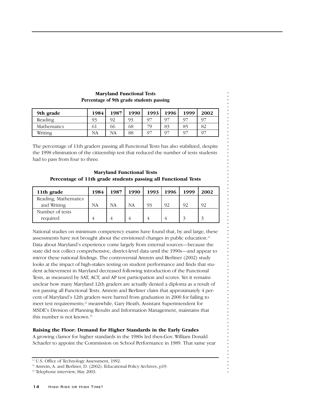| 9th grade          | 1984      | 1987 | 1990 | 1993           | 1996 | 1999           | 2002 |
|--------------------|-----------|------|------|----------------|------|----------------|------|
| Reading            | 93        | 92   | 93   | 97             | O7   | O7             | 97   |
| <b>Mathematics</b> | 61        | 66   | 68   | 70             | 83   | 85             | 82   |
| Writing            | <b>NA</b> | NА   | 88   | Q <sub>7</sub> | O7   | O <sub>7</sub> | 97   |

## **Maryland Functional Tests Percentage of 9th grade students passing**

The percentage of 11th graders passing all Functional Tests has also stabilized, despite the 1998 elimination of the citizenship test that reduced the number of tests students had to pass from four to three.

**Maryland Functional Tests Percentage of 11th grade students passing all Functional Tests**

| 11th grade           | 1984 | 1987 | 1990 | 1993 | 1996 | 1999 | 2002 |
|----------------------|------|------|------|------|------|------|------|
| Reading, Mathematics |      |      |      |      |      |      |      |
| and Writing          | NA   | NA   | NA   | 93   | 92   | 92   | 92   |
| Number of tests      |      |      |      |      |      |      |      |
| required             |      |      |      |      |      |      |      |

. . . . . . . . . . . . . . . . . . . . . . . . . . . . . . . . . . . . . . . . . . . . . . . . . . . . . . . . . . . . . . . . . . . . . . . . . . . . . . . .

National studies on minimum competency exams have found that, by and large, these assessments have not brought about the envisioned changes in public education.<sup>11</sup> Data about Maryland's experience come largely from external sources—because the state did not collect comprehensive, district-level data until the 1990s—and appear to mirror these national findings. The controversial Amrein and Berliner (2002) study looks at the impact of high-stakes testing on student performance and finds that student achievement in Maryland decreased following introduction of the Functional Tests, as measured by SAT, ACT, and AP test participation and scores. Yet it remains unclear how many Maryland 12th graders are actually denied a diploma as a result of not passing all Functional Tests. Amrein and Berliner claim that approximately 4 percent of Maryland's 12th graders were barred from graduation in 2000 for failing to meet test requirements;<sup>12</sup> meanwhile, Gary Heath, Assistant Superintendent for MSDE's Division of Planning Results and Information Management, maintains that this number is not known.<sup>13</sup>

## **Raising the Floor: Demand for Higher Standards in the Early Grades**

A growing clamor for higher standards in the 1980s led then-Gov. William Donald Schaefer to appoint the Commission on School Performance in 1989. That same year

 $\frac{11}{11}$  U.S. Office of Technology Assessment, 1992.

<sup>&</sup>lt;sup>12</sup> Amrein, A. and Berliner, D. (2002). Educational Policy Archives, p19.

<sup>&</sup>lt;sup>13</sup> Telephone interview, May 2003.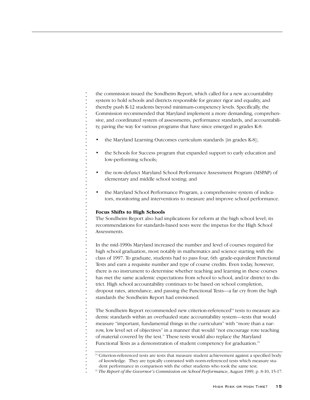the commission issued the Sondheim Report, which called for a new accountability system to hold schools and districts responsible for greater rigor and equality, and thereby push K-12 students beyond minimum-competency levels. Specifically, the Commission recommended that Maryland implement a more demanding, comprehensive, and coordinated system of assessments, performance standards, and accountability, paving the way for various programs that have since emerged in grades K-8:

- the Maryland Learning Outcomes curriculum standards [in grades K-8];
- the Schools for Success program that expanded support to early education and low-performing schools;
- the now-defunct Maryland School Performance Assessment Program (MSPAP) of elementary and middle school testing; and
- the Maryland School Performance Program, a comprehensive system of indicators, monitoring and interventions to measure and improve school performance.

## **Focus Shifts to High Schools**

. . . . . . . . . . . . . . . . . . . . . . . . . . . . . . . . . . . . . . . . . . . . . . . . . . . . . . . . . . . . . . . . . . . . . . . . . . . . . . . .

The Sondheim Report also had implications for reform at the high school level; its recommendations for standards-based tests were the impetus for the High School Assessments.

In the mid-1990s Maryland increased the number and level of courses required for high school graduation, most notably in mathematics and science starting with the class of 1997. To graduate, students had to pass four, 6th -grade-equivalent Functional Tests and earn a requisite number and type of course credits. Even today, however, there is no instrument to determine whether teaching and learning in these courses has met the same academic expectations from school to school, and/or district to district. High school accountability continues to be based on school completion, dropout rates, attendance, and passing the Functional Tests—a far cry from the high standards the Sondheim Report had envisioned.

The Sondheim Report recommended new criterion-referenced<sup>14</sup> tests to measure academic standards within an overhauled state accountability system—tests that would measure "important, fundamental things in the curriculum" with "more than a narrow, low level set of objectives" in a manner that would "not encourage rote teaching of material covered by the test." These tests would also replace the Maryland Functional Tests as a demonstration of student competency for graduation.<sup>15</sup>

<sup>&</sup>lt;sup>14</sup> Criterion-referenced tests are tests that measure student achievement against a specified body of knowledge. They are typically contrasted with norm-referenced tests which measure stu-

dent performance in comparison with the other students who took the same test.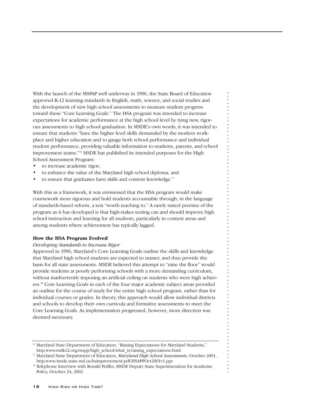With the launch of the MSPAP well underway in 1996, the State Board of Education approved K-12 learning standards in English, math, science, and social studies and the development of new high school assessments to measure student progress toward these "Core Learning Goals." The HSA program was intended to increase expectations for academic performance at the high school level by tying new, rigorous assessments to high school graduation. In MSDE's own words, it was intended to ensure that students "have the higher level skills demanded by the modern workplace and higher education and to gauge both school performance and individual student performance, providing valuable information to students, parents, and school improvement teams."16 MSDE has published its intended purposes for the High School Assessment Program:

- to increase academic rigor;
- to enhance the value of the Maryland high school diploma; and
- to ensure that graduates have skills and content knowledge.<sup>17</sup>

With this as a framework, it was envisioned that the HSA program would make coursework more rigorous and hold students accountable through, in the language of standards-based reform, a test "worth teaching to." A rarely stated premise of the program as it has developed is that high-stakes testing can and should improve high school instruction and learning for all students, particularly in content areas and among students where achievement has typically lagged.

. . . . . . . . . . . . . . . . . . . . . . . . . . . . . . . . . . . . . . . . . . . . . . . . . . . . . . . . . . . . . . . . . . . . . . . . . . . . . . . .

## **How the HSA Program Evolved**

## *Developing Standards to Increase Rigor*

Approved in 1996, Maryland's Core Learning Goals outline the skills and knowledge that Maryland high school students are expected to master, and thus provide the basis for all state assessments. MSDE believed this attempt to "raise the floor" would provide students at poorly performing schools with a more demanding curriculum, without inadvertently imposing an artificial ceiling on students who were high achievers.18 Core Learning Goals in each of the four major academic subject areas provided an outline for the course of study for the entire high school program, rather than for individual courses or grades. In theory, this approach would allow individual districts and schools to develop their own curricula and formative assessments to meet the Core Learning Goals. As implementation progressed, however, more direction was deemed necessary.

<sup>&</sup>lt;sup>16</sup> Maryland State Department of Education, "Raising Expectations for Maryland Students," http:www.mdk12.org/mspp/high\_school/what\_is/raising\_expectations.html

<sup>17</sup> Maryland State Department of Education, *Maryland High School Assessments*, October 2001, http:www/msde.state.md.us/hsimprovement/pdf/HSAPPOct2001v1.ppt

<sup>&</sup>lt;sup>18</sup> Telephone Interview with Ronald Peiffer, MSDE Deputy State Superintendent for Academic Policy, October 24, 2002.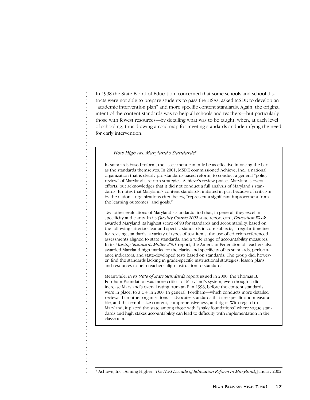In 1998 the State Board of Education, concerned that some schools and school districts were not able to prepare students to pass the HSAs, asked MSDE to develop an "academic intervention plan" and more specific content standards. Again, the original intent of the content standards was to help all schools and teachers—but particularly those with fewest resources—by detailing what was to be taught, when, at each level of schooling, thus drawing a road map for meeting standards and identifying the need for early intervention.

## *How High Are Maryland's Standards?*

. . . . . . . . . . . . . . . . . . . . . . . . . . . . . . . . . . . . . . . . . . . . . . . . . . . . . . . . . . . . . . . . . . . . . . . . . . . . . . . .

 $\begin{bmatrix} 1 \\ 1 \\ 2 \end{bmatrix}$ 

 $\frac{1}{2}$ 

 $\frac{1}{2}$ 

 $\frac{1}{2}$ 

j

l,

 $\ddot{\cdot}$ 

 $\frac{1}{2}$ 

 $\ddot{\cdot}$ 

 $\frac{1}{2}$  $\blacksquare$ 

 $\ddot{\cdot}$ l,  $\ddot{\cdot}$ l,  $\frac{1}{2}$  $\ddot{\cdot}$  $\frac{1}{2}$  In standards-based reform, the assessment can only be as effective in raising the bar as the standards themselves. In 2001, MSDE commissioned Achieve, Inc., a national organization that is clearly pro-standards-based reform, to conduct a general "policy review" of Maryland's reform strategies. Achieve's review praises Maryland's overall efforts, but acknowledges that it did not conduct a full analysis of Maryland's standards. It notes that Maryland's content standards, initiated in part because of criticism by the national organizations cited below, "represent a significant improvement from the learning outcomes" and goals.<sup>19</sup>

Two other evaluations of Maryland's standards find that, in general, they excel in specificity and clarity. In its *Quality Counts 2002* state report card, *Education Week* awarded Maryland its highest score of 98 for standards and accountability, based on the following criteria: clear and specific standards in core subjects, a regular timeline for revising standards, a variety of types of test items, the use of criterion-referenced assessments aligned to state standards, and a wide range of accountability measures. In its *Making Standards Matter 2001* report, the American Federation of Teachers also awarded Maryland high marks for the clarity and specificity of its standards, performance indicators, and state-developed tests based on standards. The group did, however, find the standards lacking in grade-specific instructional strategies, lesson plans, and resources to help teachers align instruction to standards.

Meanwhile, in its *State of State Standards* report issued in 2000, the Thomas B. Fordham Foundation was more critical of Maryland's system, even though it did increase Maryland's overall rating from an F in 1998, before the content standards were in place, to a C+ in 2000. In general, Fordham—which conducts more detailed reviews than other organizations—advocates standards that are specific and measurable, and that emphasize content, comprehensiveness, and rigor. With regard to Maryland, it placed the state among those with "shaky foundations" where vague standards and high stakes accountability can lead to difficulty with implementation in the classroom.

<sup>19</sup> Achieve, Inc., Aiming Higher: *The Next Decade of Education Reform in Maryland*, January 2002.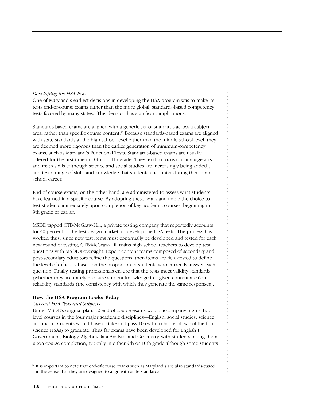## *Developing the HSA Tests*

One of Maryland's earliest decisions in developing the HSA program was to make its tests end-of-course exams rather than the more global, standards-based competency tests favored by many states. This decision has significant implications.

Standards-based exams are aligned with a generic set of standards across a subject area, rather than specific course content.<sup>20</sup> Because standards-based exams are aligned with state standards at the high school level rather than the middle school level, they are deemed more rigorous than the earlier generation of minimum-competency exams, such as Maryland's Functional Tests. Standards-based exams are usually offered for the first time in 10th or 11th grade. They tend to focus on language arts and math skills (although science and social studies are increasingly being added), and test a range of skills and knowledge that students encounter during their high school career.

End-of-course exams, on the other hand, are administered to assess what students have learned in a specific course. By adopting these, Maryland made the choice to test students immediately upon completion of key academic courses, beginning in 9th grade or earlier.

MSDE tapped CTB/McGraw-Hill, a private testing company that reportedly accounts for 40 percent of the test design market, to develop the HSA tests. The process has worked thus: since new test items must continually be developed and tested for each new round of testing, CTB/McGraw-Hill trains high school teachers to develop test questions with MSDE's oversight. Expert content teams composed of secondary and post-secondary educators refine the questions, then items are field-tested to define the level of difficulty based on the proportion of students who correctly answer each question. Finally, testing professionals ensure that the tests meet validity standards (whether they accurately measure student knowledge in a given content area) and reliability standards (the consistency with which they generate the same responses).

. . . . . . . . . . . . . . . . . . . . . . . . . . . . . . . . . . . . . . . . . . . . . . . . . . . . . . . . . . . . . . . . . . . . . . . . . . . . . . . .

## **How the HSA Program Looks Today**

#### *Current HSA Tests and Subjects*

Under MSDE's original plan, 12 end-of-course exams would accompany high school level courses in the four major academic disciplines—English, social studies, science, and math. Students would have to take and pass 10 (with a choice of two of the four science HSAs) to graduate. Thus far exams have been developed for English I, Government, Biology, Algebra/Data Analysis and Geometry, with students taking them upon course completion, typically in either 9th or 10th grade although some students

<sup>&</sup>lt;sup>20</sup> It is important to note that end-of-course exams such as Maryland's are also standards-based in the sense that they are designed to align with state standards.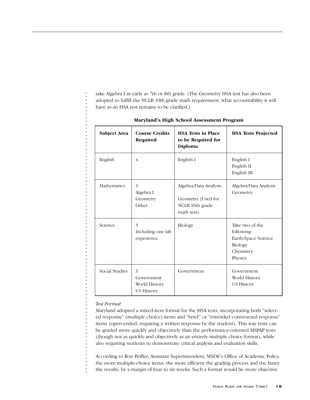take Algebra I as early as 7th or 8th grade. (The Geometry HSA test has also been adopted to fulfill the NCLB 10th grade math requirement; what accountability it will have as an HSA test remains to be clarified.)

| <b>Subject Area</b> | <b>Course Credits</b><br>Required                     | <b>HSA Tests in Place</b><br>to be Required for<br>Diploma                   | <b>HSA Tests Projected</b>                                                                     |
|---------------------|-------------------------------------------------------|------------------------------------------------------------------------------|------------------------------------------------------------------------------------------------|
| English             | 4                                                     | English I                                                                    | English I<br>English II<br>English III                                                         |
| Mathematics         | 3<br>Algebra I<br>Geometry<br>Other                   | Algebra/Data Analysis<br>Geometry (Used for<br>NCLB 10th grade<br>math test) | Algebra/Data Analysis<br>Geometry                                                              |
| Science             | 3<br>Including one lab<br>experience                  | <b>Biology</b>                                                               | Take two of the<br>following:<br>Earth/Space Science<br><b>Biology</b><br>Chemistry<br>Physics |
| Social Studies      | 3<br>Government<br>World History<br><b>US History</b> | Government                                                                   | Government<br>World History<br><b>US History</b>                                               |

## **Maryland's High School Assessment Program**

## *Test Format*

. . . . . . . . . . . . . . . . . . . . . . . . . . . . . . . . . . . . . . . . . . . . . . . . . . . . . . . . . . . . . . . . . . . . . . . . . . . . . . . .

Maryland adopted a mixed-item format for the HSA tests, incorporating both "selected response" (multiple choice) items and "brief" or "extended constructed response" items (open-ended; requiring a written response by the student). This way tests can be graded more quickly and objectively than the performance-oriented MSPAP tests (though not as quickly and objectively as an entirely multiple choice format), while also requiring students to demonstrate critical analysis and evaluation skills.

According to Ron Peiffer, Assistant Superintendent, MSDE's Office of Academic Policy, the more multiple-choice items, the more efficient the grading process and the faster the results, by a margin of four to six weeks. Such a format would be more objective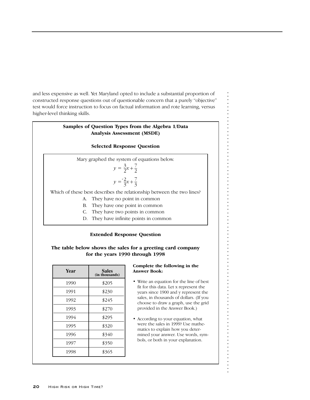and less expensive as well. Yet Maryland opted to include a substantial proportion of constructed response questions out of questionable concern that a purely "objective" test would force instruction to focus on factual information and rote learning, versus higher-level thinking skills.

## **Samples of Question Types from the Algebra 1/Data Analysis Assessment (MSDE)**

## **Selected Response Question**

Mary graphed the system of equations below. Which of these best describes the relationship between the two lines? A. They have no point in common B. They have one point in common C. They have two points in common 2 3  $y = \frac{2}{3}x + \frac{7}{3}$ 3 2  $y = \frac{3}{2}x + \frac{7}{2}$ 

D. They have infinite points in common

## **Extended Response Question**

## **The table below shows the sales for a greeting card company for the years 1990 through 1998**

| Year | Sales<br>(in thousands) |
|------|-------------------------|
| 1990 | \$205                   |
| 1991 | \$230                   |
| 1992 | \$245                   |
| 1993 | \$270                   |
| 1994 | \$295                   |
| 1995 | \$320                   |
| 1996 | \$340                   |
| 1997 | \$350                   |
| 1998 | \$365                   |

## **Complete the following in the Answer Book:**

- Write an equation for the line of best fit for this data. Let x represent the years since 1900 and y represent the sales, in thousands of dollars. (If you choose to draw a graph, use the grid provided in the Answer Book.)
- According to your equation, what were the sales in 1999? Use mathematics to explain how you determined your answer. Use words, symbols, or both in your explanation.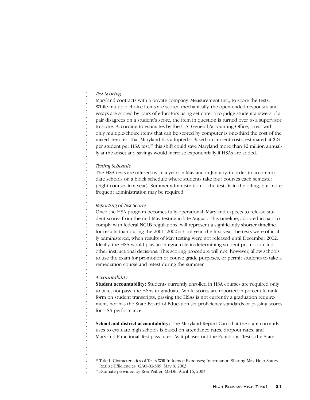## *Test Scoring*

Maryland contracts with a private company, Measurement Inc., to score the tests.

While multiple choice items are scored mechanically, the open-ended responses and essays are scored by pairs of educators using set criteria to judge student answers; if a pair disagrees on a student's score, the item in question is turned over to a supervisor to score. According to estimates by the U.S. General Accounting Office, a test with only multiple-choice items that can be scored by computer is one-third the cost of the mixed-item test that Maryland has adopted.21 Based on current costs, estimated at \$24 per student per HSA test, $^{2}$  this shift could save Maryland more than \$2 million annually at the onset and savings would increase exponentially if HSAs are added.

## *Testing Schedule*

The HSA tests are offered twice a year: in May and in January, in order to accommodate schools on a block schedule where students take four courses each semester (eight courses in a year). Summer administration of the tests is in the offing, but more frequent administration may be required.

## *Reporting of Test Scores*

Once the HSA program becomes fully operational, Maryland expects to release student scores from the mid-May testing in late August. This timeline, adopted in part to comply with federal NCLB regulations, will represent a significantly shorter timeline for results than during the 2001- 2002 school year, the first year the tests were officially administered, when results of May testing were not released until December 2002. Ideally, the HSA would play an integral role in determining student promotion and other instructional decisions. This scoring procedure will not, however, allow schools to use the exam for promotion or course grade purposes, or permit students to take a remediation course and retest during the summer.

#### *Accountability*

. . . . . . . . . . . . . . . . . . . . . . . . . . . . . . . . . . . . . . . . . . . . . . . . . . . . . . . . . . . . . . . . . . . . . . . . . . . . . . . .

**Student accountability:** Students currently enrolled in HSA courses are required only to take, not pass, the HSAs to graduate. While scores are reported in percentile rank form on student transcripts, passing the HSAs is not currently a graduation requirement, nor has the State Board of Education set proficiency standards or passing scores for HSA performance.

**School and district accountability:** The Maryland Report Card that the state currently uses to evaluate high schools is based on attendance rates, dropout rates, and Maryland Functional Test pass rates. As it phases out the Functional Tests, the State

<sup>&</sup>lt;sup>21</sup> Title I: Characteristics of Tests Will Influence Expenses; Information Sharing May Help States Realize Efficiencies GAO-03-389, May 8, 2003.

<sup>&</sup>lt;sup>22</sup> Estimate provided by Ron Peiffer, MSDE, April 16, 2003.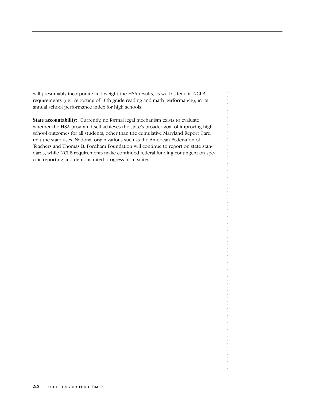will presumably incorporate and weight the HSA results, as well as federal NCLB requirements (i.e., reporting of 10th grade reading and math performance), in its annual school performance index for high schools.

**State accountability:** Currently, no formal legal mechanism exists to evaluate whether the HSA program itself achieves the state's broader goal of improving high school outcomes for all students, other than the cumulative Maryland Report Card that the state uses. National organizations such as the American Federation of Teachers and Thomas B. Fordham Foundation will continue to report on state standards, while NCLB requirements make continued federal funding contingent on specific reporting and demonstrated progress from states.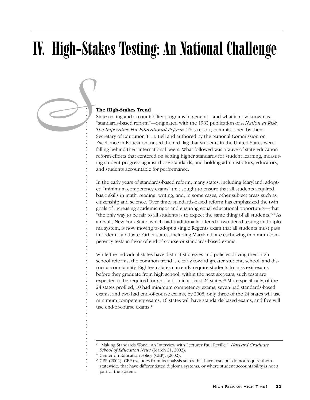# IV. High-Stakes Testing: An National Challenge

## **The High-Stakes Trend**

. . . . . . . . . . . . . . . . . . . . . . . . . . . . . . . . . . . . . . . . . . . . . . . . . . . . . . . . . . . . . . . . . . . . . . . . . . .

State testing and accountability programs in general—and what is now known as "standards-based reform"—originated with the 1983 publication of *A Nation at Risk: The Imperative For Educational Reform*. This report, commissioned by then-Secretary of Education T. H. Bell and authored by the National Commission on Excellence in Education, raised the red flag that students in the United States were falling behind their international peers. What followed was a wave of state education reform efforts that centered on setting higher standards for student learning, measuring student progress against those standards, and holding administrators, educators, and students accountable for performance. *S*

> In the early years of standards-based reform, many states, including Maryland, adopted "minimum competency exams" that sought to ensure that all students acquired basic skills in math, reading, writing, and, in some cases, other subject areas such as citizenship and science. Over time, standards-based reform has emphasized the twin goals of increasing academic rigor and ensuring equal educational opportunity—that "the only way to be fair to all students is to expect the same thing of all students."23 As a result, New York State, which had traditionally offered a two-tiered testing and diploma system, is now moving to adopt a single Regents exam that all students must pass in order to graduate. Other states, including Maryland, are eschewing minimum competency tests in favor of end-of-course or standards-based exams.

> While the individual states have distinct strategies and policies driving their high school reforms, the common trend is clearly toward greater student, school, and district accountability. Eighteen states currently require students to pass exit exams before they graduate from high school; within the next six years, such tests are expected to be required for graduation in at least  $24$  states.<sup>24</sup> More specifically, of the 24 states profiled, 10 had minimum competency exams, seven had standards-based exams, and two had end-of-course exams; by 2008, only three of the 24 states will use minimum competency exams, 16 states will have standards-based exams, and five will use end-of-course exams.<sup>25</sup>

<sup>23</sup> "Making Standards Work: An Interview with Lecturer Paul Reville." *Harvard Graduate School of Education News* (March 21, 2002).

<sup>&</sup>lt;sup>24</sup> Center on Education Policy (CEP). (2002).

<sup>&</sup>lt;sup>25</sup> CEP. (2002). CEP excludes from its analysis states that have tests but do not require them

statewide, that have differentiated diploma systems, or where student accountability is not a part of the system.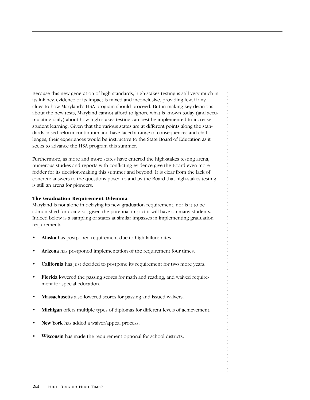Because this new generation of high standards, high-stakes testing is still very much in its infancy, evidence of its impact is mixed and inconclusive, providing few, if any, clues to how Maryland's HSA program should proceed. But in making key decisions about the new tests, Maryland cannot afford to ignore what is known today (and accumulating daily) about how high-stakes testing can best be implemented to increase student learning. Given that the various states are at different points along the standards-based reform continuum and have faced a range of consequences and challenges, their experiences would be instructive to the State Board of Education as it seeks to advance the HSA program this summer.

Furthermore, as more and more states have entered the high-stakes testing arena, numerous studies and reports with conflicting evidence give the Board even more fodder for its decision-making this summer and beyond. It is clear from the lack of concrete answers to the questions posed to and by the Board that high-stakes testing is still an arena for pioneers.

## **The Graduation Requirement Dilemma**

Maryland is not alone in delaying its new graduation requirement, nor is it to be admonished for doing so, given the potential impact it will have on many students. Indeed below is a sampling of states at similar impasses in implementing graduation requirements:

- **Alaska** has postponed requirement due to high failure rates.
- **Arizona** has postponed implementation of the requirement four times.
- **California** has just decided to postpone its requirement for two more years.
- **Florida** lowered the passing scores for math and reading, and waived requirement for special education.
- **Massachusetts** also lowered scores for passing and issued waivers.
- **Michigan** offers multiple types of diplomas for different levels of achievement.
- New York has added a waiver/appeal process.
- **Wisconsin** has made the requirement optional for school districts.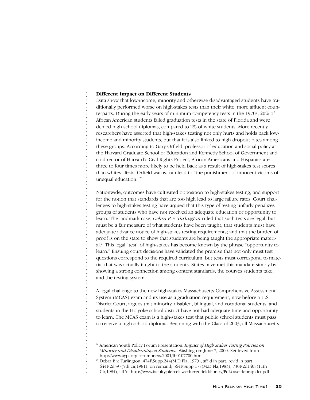#### **Different Impact on Different Students**

. . . . . . . . . . . . . . . . . . . . . . . . . . . . . . . . . . . . . . . . . . . . . . . . . . . . . . . . . . . . . . . . . . . . . . . . . . . . . . . .

Data show that low-income, minority and otherwise disadvantaged students have traditionally performed worse on high-stakes tests than their white, more affluent counterparts. During the early years of minimum competency tests in the 1970s, 20% of African American students failed graduation tests in the state of Florida and were denied high school diplomas, compared to 2% of white students. More recently, researchers have asserted that high-stakes testing not only hurts and holds back lowincome and minority students, but that it is also linked to high dropout rates among these groups. According to Gary Orfield, professor of education and social policy at the Harvard Graduate School of Education and Kennedy School of Government and co-director of Harvard's Civil Rights Project, African Americans and Hispanics are three to four times more likely to be held back as a result of high-stakes test scores than whites. Tests, Orfield warns, can lead to "the punishment of innocent victims of unequal education."26

Nationwide, outcomes have cultivated opposition to high-stakes testing, and support for the notion that standards that are too high lead to large failure rates. Court challenges to high-stakes testing have argued that this type of testing unfairly penalizes groups of students who have not received an adequate education or opportunity to learn. The landmark case, *Debra P. v. Turlington* ruled that such tests are legal, but must be a fair measure of what students have been taught; that students must have adequate advance notice of high-stakes testing requirements; and that the burden of proof is on the state to show that students are being taught the appropriate material.27 This legal "test" of high-stakes has become known by the phrase "opportunity to learn." Ensuing court decisions have validated the premise that not only must test questions correspond to the required curriculum, but tests must correspond to material that was actually taught to the students. States have met this mandate simply by showing a strong connection among content standards, the courses students take, and the testing system.

A legal challenge to the new high-stakes Massachusetts Comprehensive Assessment System (MCAS) exam and its use as a graduation requirement, now before a U.S. District Court, argues that minority, disabled, bilingual, and vocational students, and students in the Holyoke school district have not had adequate time and opportunity to learn. The MCAS exam is a high-stakes test that public school students must pass to receive a high school diploma. Beginning with the Class of 2003, all Massachusetts

<sup>26</sup> American Youth Policy Forum Presentation. *Impact of High Stakes Testing Policies on Minority and Disadvantaged Students*. Washington: June 7, 2000. Retrieved from http://www.aypf.org.forumbnets/2001/fb0107700.html.

 $27$  Debra P. v. Turlington,  $474$ F,Supp.244(M.D.Fla, 1979), aff'd in part, rev'd in part;

<sup>644</sup>F,2d397(5th cir,1981), on remand; 564F,Supp.177(M.D.Fla,1983), 730F,2d1405(11th

Cir,1984), aff 'd. http://www.faculty.piercelaw.edu/redfield/library/Pdf/case-debrap.dct.pdf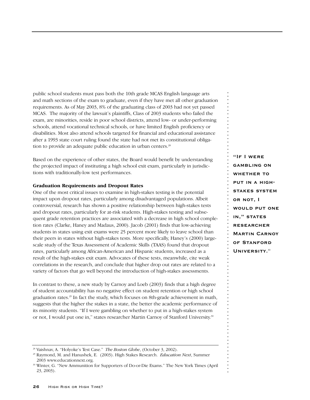public school students must pass both the 10th grade MCAS English language arts and math sections of the exam to graduate, even if they have met all other graduation requirements. As of May 2003, 8% of the graduating class of 2003 had not yet passed MCAS. The majority of the lawsuit's plaintiffs, Class of 2003 students who failed the exam, are minorities, reside in poor school districts, attend low- or under-performing schools, attend vocational technical schools, or have limited English proficiency or disabilities. Most also attend schools targeted for financial and educational assistance after a 1993 state court ruling found the state had not met its constitutional obligation to provide an adequate public education in urban centers.<sup>28</sup>

Based on the experience of other states, the Board would benefit by understanding the projected impact of instituting a high school exit exam, particularly in jurisdictions with traditionally-low test performances.

## **Graduation Requirements and Dropout Rates**

One of the most critical issues to examine in high-stakes testing is the potential impact upon dropout rates, particularly among disadvantaged populations. Albeit controversial, research has shown a positive relationship between high-stakes tests and dropout rates, particularly for at-risk students. High-stakes testing and subsequent grade retention practices are associated with a decrease in high school completion rates (Clarke, Haney and Madaus, 2000). Jacob (2001) finds that low-achieving students in states using exit exams were 25 percent more likely to leave school than their peers in states without high-stakes tests. More specifically, Haney's (2000) largescale study of the Texas Assessment of Academic Skills (TAAS) found that dropout rates, particularly among African-American and Hispanic students, increased as a result of the high-stakes exit exam. Advocates of these tests, meanwhile, cite weak correlations in the research, and conclude that higher drop out rates are related to a variety of factors that go well beyond the introduction of high-stakes assessments.

In contrast to these, a new study by Carnoy and Loeb (2003) finds that a high degree of student accountability has no negative effect on student retention or high school graduation rates.<sup>29</sup> In fact the study, which focuses on 8th-grade achievement in math, suggests that the higher the stakes in a state, the better the academic performance of its minority students. "If I were gambling on whether to put in a high-stakes system or not, I would put one in," states researcher Martin Carnoy of Stanford University.<sup>30</sup>

**"If I were gambling onwhether to put in a highstakes systemor not, I would put one in," states researcher Martin Carnoy of Stanford University.**30

<sup>28</sup> Vaishnav, A. "Holyoke's Test Case." *The Boston Globe*, (October 3, 2002).

<sup>29</sup> Raymond, M. and Hanushek, E. (2003). High Stakes Research. *Education Next*, Summer 2003 www.educationnext.org.

<sup>30</sup> Winter, G. "New Ammunition for Supporters of Do-or-Die Exams." The New York Times (April 23, 2003).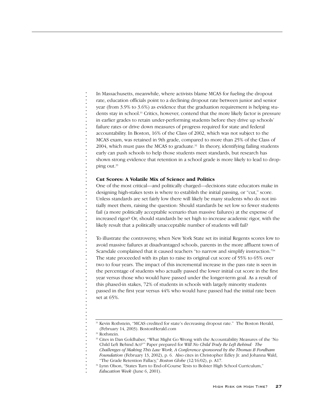In Massachusetts, meanwhile, where activists blame MCAS for fueling the dropout rate, education officials point to a declining dropout rate between junior and senior year (from 3.9% to 3.6%) as evidence that the graduation requirement is helping students stay in school.<sup>31</sup> Critics, however, contend that the more likely factor is pressure in earlier grades to retain under-performing students before they drive up schools' failure rates or drive down measures of progress required for state and federal accountability. In Boston, 16% of the Class of 2002, which was not subject to the MCAS exam, was retained in 9th grade, compared to more than 25% of the Class of 2004, which must pass the MCAS to graduate.<sup>32</sup> In theory, identifying failing students early can push schools to help those students meet standards, but research has shown strong evidence that retention in a school grade is more likely to lead to dropping out.<sup>33</sup>

## **Cut Scores: A Volatile Mix of Science and Politics**

One of the most critical—and politically charged—decisions state educators make in designing high-stakes tests is where to establish the initial passing, or "cut," score. Unless standards are set fairly low there will likely be many students who do not initially meet them, raising the question: Should standards be set low so fewer students fail (a more politically acceptable scenario than massive failures) at the expense of increased rigor? Or, should standards be set high to increase academic rigor, with the likely result that a politically unacceptable number of students will fail?

To illustrate the controversy, when New York State set its initial Regents scores low to avoid massive failures at disadvantaged schools, parents in the more affluent town of Scarsdale complained that it caused teachers "to narrow and simplify instruction."34 The state proceeded with its plan to raise its original cut score of 55% to 65% over two to four years. The impact of this incremental increase in the pass rate is seen in the percentage of students who actually passed the lower initial cut score in the first year versus those who would have passed under the longer-term goal. As a result of this phased-in stakes, 72% of students in schools with largely minority students passed in the first year versus 44% who would have passed had the initial rate been set at 65%.

<sup>&</sup>lt;sup>31</sup> Kevin Rothstein, "MCAS credited for state's decreasing dropout rate." The Boston Herald, (February 14, 2003). BostonHerald.com

<sup>&</sup>lt;sup>32</sup> Rothstein.

<sup>33</sup> Cites in Dan Goldhaber, "What Might Go Wrong with the Accountability Measures of the 'No Child Left Behind Act?'" Paper prepared for *Will No Child Truly Be Left Behind: The Challenges of Making This Law Work, A Conference sponsored by the Thomas B Fordham Foundation* (February 13, 2002), p. 6. Also cites in Christopher Edley Jr. and Johanna Wald, "The Grade Retention Fallacy," *Boston Globe* (12/16/02), p. A17.

<sup>&</sup>lt;sup>34</sup> Lynn Olson, "States Turn to End-of-Course Tests to Bolster High School Curriculum,"

*Education Week* (June 6, 2001).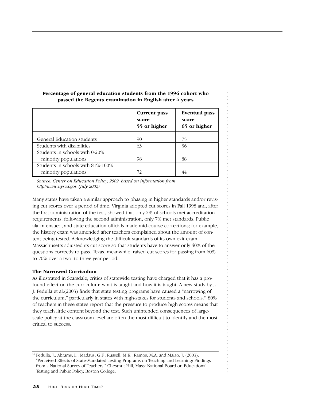|                                   | Current pass<br>score<br>55 or higher | <b>Eventual pass</b><br>score<br>65 or higher |
|-----------------------------------|---------------------------------------|-----------------------------------------------|
| General Education students        | 90                                    | 75                                            |
| Students with disabilities        | 63                                    | 36                                            |
| Students in schools with 0-20%    |                                       |                                               |
| minority populations              | 98                                    | 88                                            |
| Students in schools with 81%-100% |                                       |                                               |
| minority populations              | 72                                    | 44                                            |

## **Percentage of general education students from the 1996 cohort who passed the Regents examination in English after 4 years**

*Source: Center on Education Policy, 2002: based on information from http//www.nysed.gov (July 2002)*

Many states have taken a similar approach to phasing in higher standards and/or revising cut scores over a period of time. Virginia adopted cut scores in Fall 1998 and, after the first administration of the test, showed that only 2% of schools met accreditation requirements; following the second administration, only 7% met standards. Public alarm ensued, and state education officials made mid-course corrections; for example, the history exam was amended after teachers complained about the amount of content being tested. Acknowledging the difficult standards of its own exit exam, Massachusetts adjusted its cut score so that students have to answer only 40% of the questions correctly to pass. Texas, meanwhile, raised cut scores for passing from 60% to 70% over a two- to three-year period.

. . . . . . . . . . . . . . . . . . . . . . . . . . . . . . . . . . . . . . . . . . . . . . . . . . . . . . . . . . . . . . . . . . . . . . . . . . . . . . . .

## **The Narrowed Curriculum**

As illustrated in Scarsdale, critics of statewide testing have charged that it has a profound effect on the curriculum: what is taught and how it is taught. A new study by J. J. Pedulla et al.(2003) finds that state testing programs have caused a "narrowing of the curriculum," particularly in states with high-stakes for students and schools.35 80% of teachers in these states report that the pressure to produce high scores means that they teach little content beyond the test. Such unintended consequences of largescale policy at the classroom level are often the most difficult to identify and the most critical to success.

<sup>35</sup> Pedulla, J., Abrams, L., Madaus, G.F., Russell, M.K., Ramos, M.A. and Maiao, J. (2003). "Perceived Effects of State-Mandated Testing Programs on Teaching and Learning: Findings from a National Survey of Teachers." Chestnut Hill, Mass: National Board on Educational Testing and Public Policy, Boston College.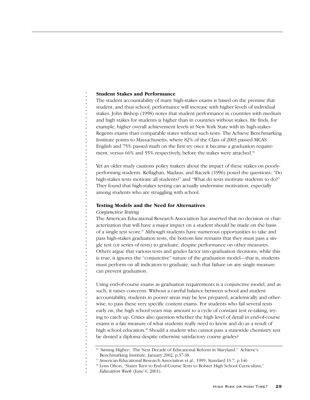## **Student Stakes and Performance**

The student accountability of many high-stakes exams is based on the premise that student, and thus school, performance will increase with higher levels of individual stakes. John Bishop (1998) notes that student performance in countries with medium and high stakes for students is higher than in countries without stakes. He finds, for example, higher overall achievement levels in New York State with its high-stakes Regents exams than comparable states without such tests. The Achieve Benchmarking Institute points to Massachusetts, where 82% of the Class of 2003 passed MCAS English and 75% passed math on the first try once it became a graduation requirement, versus 66% and 55% respectively, before the stakes were attached.<sup>36</sup>

Yet an older study cautions policy makers about the impact of these stakes on poorlyperforming students. Kellaghan, Madaus, and Raczek (1996) posed the questions: "Do high-stakes tests motivate all students?" and "What do tests motivate students to do?" They found that high-stakes testing can actually undermine motivation, especially among students who are struggling with school.

### **Testing Models and the Need for Alternatives**

#### *Conjunctive Testing*

. . . . . . . . . . . . . . . . . . . . . . . . . . . . . . . . . . . . . . . . . . . . . . . . . . . . . . . . . . . . . . . . . . . . . . . . . . . . . . . .

The American Educational Research Association has asserted that no decision or characterization that will have a major impact on a student should be made on the basis of a single test score.37 Although students have numerous opportunities to take and pass high-stakes graduation tests, the bottom line remains that they must pass a single test (or series of tests) to graduate, despite performance on other measures. Others argue that various tests and grades factor into graduation decisions; while this is true, it ignores the "conjunctive" nature of the graduation model—that is, students must perform on all indicators to graduate, such that failure on any single measure can prevent graduation.

Using end-of-course exams as graduation requirements is a conjunctive model, and as such, it raises concerns. Without a careful balance between school and student accountability, students in poorer areas may be less prepared, academically and otherwise, to pass these very specific content exams. For students who fail several tests early on, the high school years may amount to a cycle of constant test re-taking, trying to catch up. Critics also question whether the high level of detail in end-of-course exams is a fair measure of what students really need to know and do as a result of high school education.<sup>38</sup> Should a student who cannot pass a statewide chemistry test be denied a diploma despite otherwise satisfactory course grades?

<sup>&</sup>lt;sup>36</sup> "Aiming Higher: The Next Decade of Educational Reform in Maryland." Achieve's Benchmarking Institute, January 2002, p.37-38.

<sup>&</sup>lt;sup>37</sup> American Educational Research Association et.al., 1999, Standard 13.7, p.146

<sup>&</sup>lt;sup>38</sup> Lynn Olson, "States Turn to End-of-Course Tests to Bolster High School Curriculum,"

*Education Week* (June 6, 2001).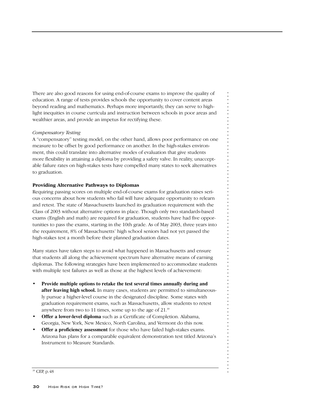There are also good reasons for using end-of-course exams to improve the quality of education. A range of tests provides schools the opportunity to cover content areas beyond reading and mathematics. Perhaps more importantly, they can serve to highlight inequities in course curricula and instruction between schools in poor areas and wealthier areas, and provide an impetus for rectifying these.

## *Compensatory Testing*

A "compensatory" testing model, on the other hand, allows poor performance on one measure to be offset by good performance on another. In the high-stakes environment, this could translate into alternative modes of evaluation that give students more flexibility in attaining a diploma by providing a safety valve. In reality, unacceptable failure rates on high-stakes tests have compelled many states to seek alternatives to graduation.

## **Providing Alternative Pathways to Diplomas**

Requiring passing scores on multiple end-of-course exams for graduation raises serious concerns about how students who fail will have adequate opportunity to relearn and retest. The state of Massachusetts launched its graduation requirement with the Class of 2003 without alternative options in place. Though only two standards-based exams (English and math) are required for graduation, students have had five opportunities to pass the exams, starting in the 10th grade. As of May 2003, three years into the requirement, 8% of Massachusetts' high school seniors had not yet passed the high-stakes test a month before their planned graduation dates.

. . . . . . . . . . . . . . . . . . . . . . . . . . . . . . . . . . . . . . . . . . . . . . . . . . . . . . . . . . . . . . . . . . . . . . . . . . . . . . . .

Many states have taken steps to avoid what happened in Massachusetts and ensure that students all along the achievement spectrum have alternative means of earning diplomas. The following strategies have been implemented to accommodate students with multiple test failures as well as those at the highest levels of achievement:

- **Provide multiple options to retake the test several times annually during and after leaving high school.** In many cases, students are permitted to simultaneously pursue a higher-level course in the designated discipline. Some states with graduation requirement exams, such as Massachusetts, allow students to retest anywhere from two to 11 times, some up to the age of 21.<sup>39</sup>
- **Offer a lower-level diploma** such as a Certificate of Completion. Alabama, Georgia, New York, New Mexico, North Carolina, and Vermont do this now.
- **Offer a proficiency assessment** for those who have failed high-stakes exams. Arizona has plans for a comparable equivalent demonstration test titled Arizona's Instrument to Measure Standards.

<sup>39</sup> CEP, p.48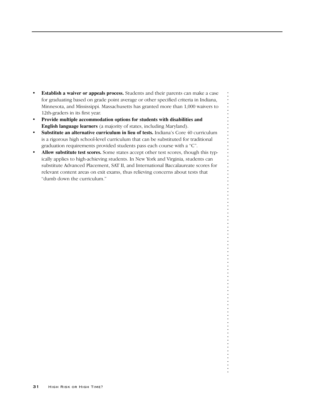- **Establish a waiver or appeals process.** Students and their parents can make a case for graduating based on grade point average or other specified criteria in Indiana, Minnesota, and Mississippi. Massachusetts has granted more than 1,000 waivers to 12th-graders in its first year.
- **Provide multiple accommodation options for students with disabilities and English language learners** (a majority of states, including Maryland).
- **Substitute an alternative curriculum in lieu of tests.** Indiana's Core 40 curriculum is a rigorous high school-level curriculum that can be substituted for traditional graduation requirements provided students pass each course with a "C".
- **Allow substitute test scores.** Some states accept other test scores, though this typically applies to high-achieving students. In New York and Virginia, students can substitute Advanced Placement, SAT II, and International Baccalaureate scores for relevant content areas on exit exams, thus relieving concerns about tests that "dumb down the curriculum."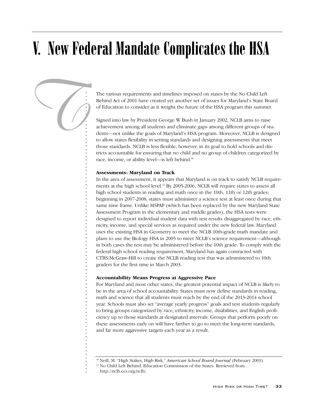# V. New Federal Mandate Complicates the HSA

The various requirements and timelines imposed on states by the No Child Left Behind Act of 2001 have created yet another set of issues for Maryland's State Board of Education to consider as it weighs the future of the HSA program this summer.

Signed into law by President George W. Bush in January 2002, NCLB aims to raise achievement among all students and eliminate gaps among different groups of students—not unlike the goals of Maryland's HSA program. Moreover, NCLB is designed to allow states flexibility in setting standards and designing assessments that meet those standards. NCLB is less flexible, however, in its goal to hold schools and districts accountable for ensuring that no child and no group of children categorized by race, income, or ability level—is left behind.<sup>40</sup>

## **Assessments: Maryland on Track**

. . . . . . . . . . . . . . . . . . . . . . . . . . . . . . . . . . . . . . . . . . . . . . . . . . . . . . . . . . . . . . . . . . . . . . . . . . . . . . . .

*T*

In the area of assessment, it appears that Maryland is on track to satisfy NCLB requirements at the high school level.<sup>41</sup> By 2005-2006, NCLB will require states to assess all high school students in reading and math once in the 10th, 11th or 12th grades; beginning in 2007-2008, states must administer a science test at least once during that same time frame. Unlike MSPAP (which has been replaced by the new Maryland State Assessment Program in the elementary and middle grades), the HSA tests were designed to report individual student data with test results disaggregated by race, ethnicity, income, and special services as required under the new federal law. Maryland uses the existing HSA in Geometry to meet the NCLB 10th-grade math mandate and plans to use the Biology HSA in 2005 to meet NCLB's science requirement—although in both cases the test may be administered before the 10th grade. To comply with the federal high school reading requirement, Maryland has again contracted with CTBS/McGraw-Hill to create the NCLB reading test that was administered to 10th graders for the first time in March 2003.

## **Accountability Means Progress at Aggressive Pace**

For Maryland and most other states, the greatest potential impact of NCLB is likely to be in the area of school accountability. States must now define standards in reading, math and science that all students must reach by the end of the 2013-2014 school year. Schools must also set "average yearly progress" goals and test students regularly to bring groups categorized by race, ethnicity, income, disabilities, and English proficiency up to those standards at designated intervals. Groups that perform poorly on these assessments early on will have farther to go to meet the long-term standards, and far more aggressive targets each year as a result.

<sup>40</sup> Neill, M. "High Stakes, High Risk," *American School Board Journal* (February 2003).

<sup>41</sup> No Child Left Behind. Education Commission of the States. Retrieved from

http://nclb.ecs.org/nclb/.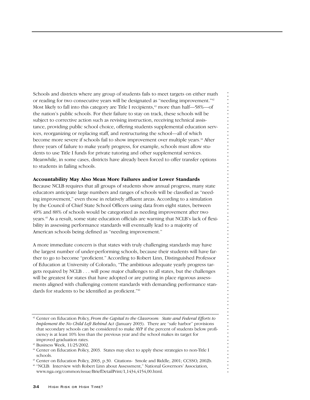Schools and districts where any group of students fails to meet targets on either math or reading for two consecutive years will be designated as "needing improvement."42 Most likely to fall into this category are Title I recipients, $4^3$  more than half—58%—of the nation's public schools. For their failure to stay on track, these schools will be subject to corrective action such as revising instruction, receiving technical assistance, providing public school choice, offering students supplemental education services, reorganizing or replacing staff, and restructuring the school—all of which become more severe if schools fail to show improvement over multiple years.<sup>44</sup> After three years of failure to make yearly progress, for example, schools must allow students to use Title I funds for private tutoring and other supplemental services. Meanwhile, in some cases, districts have already been forced to offer transfer options to students in failing schools.

## **Accountability May Also Mean More Failures and/or Lower Standards**

Because NCLB requires that all groups of students show annual progress, many state educators anticipate large numbers and ranges of schools will be classified as "needing improvement," even those in relatively affluent areas. According to a simulation by the Council of Chief State School Officers using data from eight states, between 49% and 88% of schools would be categorized as needing improvement after two years.45 As a result, some state education officials are warning that NCLB's lack of flexibility in assessing performance standards will eventually lead to a majority of American schools being defined as "needing improvement."

. . . . . . . . . . . . . . . . . . . . . . . . . . . . . . . . . . . . . . . . . . . . . . . . . . . . . . . . . . . . . . . . . . . . . . . . . . . . . . . .

A more immediate concern is that states with truly challenging standards may have the largest number of under-performing schools, because their students will have farther to go to become "proficient." According to Robert Linn, Distinguished Professor of Education at University of Colorado, "The ambitious adequate yearly progress targets required by NCLB . . . will pose major challenges to all states, but the challenges will be greatest for states that have adopted or are putting in place rigorous assessments aligned with challenging content standards with demanding performance standards for students to be identified as proficient."46

<sup>42</sup> Center on Education Policy, *From the Capital to the Classroom: State and Federal Efforts to Implement the No Child Left Behind Act* (January 2003). There are "safe harbor" provisions that secondary schools can be considered to make AYP if the percent of students below proficiency is at least 10% less than the previous year and the school makes its target for improved graduation rates.

<sup>43</sup> Business Week, 11/25/2002.

<sup>&</sup>lt;sup>44</sup> Center on Education Policy, 2003. States may elect to apply these strategies to non-Title I schools.

<sup>45</sup> Center on Education Policy, 2003, p.30. Citations- Smole and Riddle, 2001; CCSSO, 2002b.

<sup>46</sup> "NCLB: Interview with Robert Linn about Assessment," National Governors' Association, www.nga.org/common/issue/BriefDetailPrint/1,1434,4154,00.html.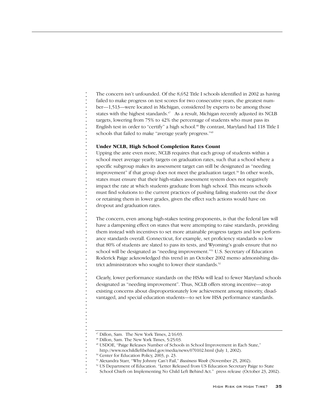The concern isn't unfounded. Of the 8,652 Title I schools identified in 2002 as having failed to make progress on test scores for two consecutive years, the greatest number—1,513—were located in Michigan, considered by experts to be among those states with the highest standards.<sup>47</sup> As a result, Michigan recently adjusted its NCLB targets, lowering from 75% to 42% the percentage of students who must pass its English test in order to "certify" a high school.<sup>48</sup> By contrast, Maryland had 118 Title I schools that failed to make "average yearly progress."<sup>49</sup>

## **Under NCLB, High School Completion Rates Count**

Upping the ante even more, NCLB requires that each group of students within a school meet average yearly targets on graduation rates, such that a school where a specific subgroup makes its assessment target can still be designated as "needing improvement" if that group does not meet the graduation target.<sup>50</sup> In other words, states must ensure that their high-stakes assessment system does not negatively impact the rate at which students graduate from high school. This means schools must find solutions to the current practices of pushing failing students out the door or retaining them in lower grades, given the effect such actions would have on dropout and graduation rates.

The concern, even among high-stakes testing proponents, is that the federal law will have a dampening effect on states that were attempting to raise standards, providing them instead with incentives to set more attainable progress targets and low performance standards overall. Connecticut, for example, set proficiency standards so low that 80% of students are slated to pass its tests, and Wyoming's goals ensure that no school will be designated as "needing improvement."51 U.S. Secretary of Education Roderick Paige acknowledged this trend in an October 2002 memo admonishing district administrators who sought to lower their standards.<sup>52</sup>

Clearly, lower performance standards on the HSAs will lead to fewer Maryland schools designated as "needing improvement". Thus, NCLB offers strong incentive—atop existing concerns about disproportionately low achievement among minority, disadvantaged, and special education students—to set low HSA performance standards.

<sup>47</sup> Dillon, Sam. The New York Times, 2/16/03.

<sup>48</sup> Dillon, Sam. The New York Times, 5/25/03.

<sup>49</sup> USDOE, "Paige Releases Number of Schools in School Improvement in Each State,"

http://www.nochildleftbehind.gov/media/news/070102.html (July 1, 2002).

<sup>50</sup> Center for Education Policy, 2003, p. 23.

<sup>51</sup> Alexandra Starr, "Why Johnny Can't Fail," *Business Week* (November 25, 2002).

<sup>&</sup>lt;sup>52</sup> US Department of Education. "Letter Released from US Education Secretary Paige to State

School Chiefs on Implementing No Child Left Behind Act." press release (October 23, 2002).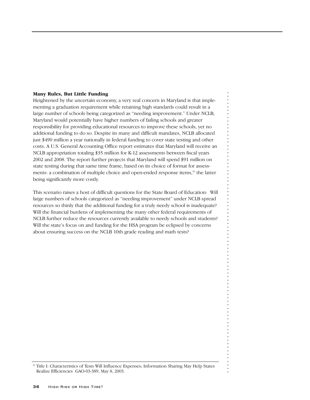## **Many Rules, But Little Funding**

Heightened by the uncertain economy, a very real concern in Maryland is that implementing a graduation requirement while retaining high standards could result in a large number of schools being categorized as "needing improvement." Under NCLB, Maryland would potentially have higher numbers of failing schools and greater responsibility for providing educational resources to improve these schools, yet no additional funding to do so. Despite its many and difficult mandates, NCLB allocated just \$490 million a year nationally in federal funding to cover state testing and other costs. A U.S. General Accounting Office report estimates that Maryland will receive an NCLB appropriation totaling \$35 million for K-12 assessments between fiscal years 2002 and 2008. The report further projects that Maryland will spend \$91 million on state testing during that same time frame, based on its choice of format for assessments: a combination of multiple choice and open-ended response items,<sup>53</sup> the latter being significantly more costly.

This scenario raises a host of difficult questions for the State Board of Education: Will large numbers of schools categorized as "needing improvement" under NCLB spread resources so thinly that the additional funding for a truly needy school is inadequate? Will the financial burdens of implementing the many other federal requirements of NCLB further reduce the resources currently available to needy schools and students? Will the state's focus on and funding for the HSA program be eclipsed by concerns about ensuring success on the NCLB 10th grade reading and math tests?

<sup>53</sup> Title I: Characteristics of Tests Will Influence Expenses; Information Sharing May Help States Realize Efficiencies GAO-03-389, May 8, 2003.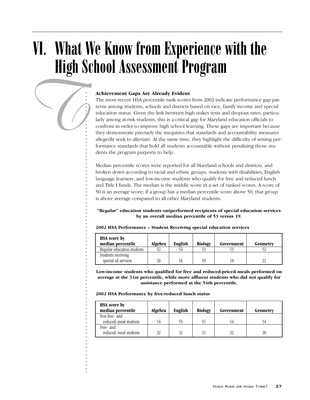# VI. What We Know from Experience with the High School Assessment Program

## **Achievement Gaps Are Already Evident**

The most recent HSA percentile rank scores from 2002 indicate performance gap patterns among students, schools and districts based on race, family income and special education status. Given the link between high-stakes tests and dropout rates, particularly among at-risk students, this is a critical gap for Maryland education officials to confront in order to improve high school learning. These gaps are important because they demonstrate precisely the inequities that standards and accountability measures allegedly seek to alleviate. At the same time, they highlight the difficulty of setting performance standards that hold all students accountable without penalizing those students the program purports to help.

Median percentile scores were reported for all Maryland schools and districts, and broken down according to racial and ethnic groups, students with disabilities, English language learners, and low-income students who qualify for free and reduced lunch and Title I funds. The median is the middle score in a set of ranked scores. A score of 50 is an average score; if a group has a median percentile score above 50, that group is above average compared to all other Maryland students.

## **"Regular" education students outperformed recipients of special education services by an overall median percentile of 53 versus 19.**

| <b>HSA</b> score by<br>median percentile | Algebra | English | <b>Biology</b> | Government | Geometry |
|------------------------------------------|---------|---------|----------------|------------|----------|
| Regular education students               |         |         |                |            |          |
| Students receiving                       |         |         |                |            |          |
| special ed services                      | 20      | 16      | 10             |            | າາ       |

#### **2002 HSA Performance – Student Receiving special education services**

**Low-income students who qualified for free and reduced-priced meals performed on average at the 31st percentile, while more affluent students who did not qualify for assistance performed at the 54th percentile.**

**2002 HSA Performance by free/reduced lunch status**

. . . . . . . . . . . . . . . . . . . . . . . . . . . . . . . . . . . . . . . . . . . . . . . . . . . . . . . . . . . . . . . . . . . . . . . . . . . . . . . .

*T*

| <b>HSA</b> score by<br>median percentile | Algebra | English | <b>Biology</b> | Government | Geometry |
|------------------------------------------|---------|---------|----------------|------------|----------|
| Non free- and                            |         |         |                |            |          |
| reduced-meal students                    | 54      | 55.     |                |            |          |
| Free- and                                |         |         |                |            |          |
| reduced-meal students                    | 32      | 32      |                | 32         | 30       |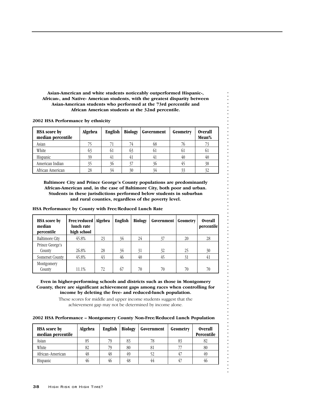**Asian-American and white students noticeably outperformed Hispanic-, African-, and Native- American students, with the greatest disparity between Asian-American students who performed at the 73rd percentile and African American students at the 32nd percentile.**

**2002 HSA Performance by ethnicity**

| <b>HSA</b> score by<br>median percentile | Algebra | <b>English</b> | <b>Biology</b> | Government | Geometry | <b>Overall</b><br>Mean% |
|------------------------------------------|---------|----------------|----------------|------------|----------|-------------------------|
| Asian                                    |         |                | 74             | 68         | '∪       |                         |
| White                                    | 03      | 61             | 03             | οI         | 01       |                         |
| Hispanic                                 | 39      |                | 4 <sub>1</sub> | 41         | 40       | 40                      |
| American Indian                          | 35      | 36             | 37             | 36         |          | 38                      |
| African American                         | 28      | 34             | 30             | 34         | 33       | 32                      |

**Baltimore City and Prince George's County populations are predominantly African-American and, in the case of Baltimore City, both poor and urban. Students in these jurisdictions performed below students in suburban and rural counties, regardless of the poverty level.**

**HSA Performance by County with Free/Reduced Lunch Rate** 

| <b>HSA</b> score by<br>median<br>percentile | Free/reduced   Algebra<br>lunch rate<br>high school |    | English | <b>Biology</b> | Government | Geometry | <b>Overall</b><br>percentile |
|---------------------------------------------|-----------------------------------------------------|----|---------|----------------|------------|----------|------------------------------|
| <b>Baltimore City</b>                       | 45.8%                                               | 23 | 34      | 24             | 37         | 20       | 28                           |
| Prince George's<br>County                   | 26.8%                                               | 28 | 34      | 31             | 32         | 25       | 30                           |
| Somerset County                             | 45.8%                                               | 43 | 46      | 40             | 45         | 31       | 41                           |
| Montgomery<br>County                        | 11.1%                                               | 72 | 67      | 70             | 70         | 70       | 70                           |

. . . . . . . . . . . . . . . . . . . . . . . . . . . . . . . . . . . . . . . . . . . . . . . . . . . . . . . . . . . . . . . . . . . . . . . . . . . . . . . .

**Even in higher-performing schools and districts such as those in Montgomery County, there are significant achievement gaps among races when controlling for income by deleting the free- and reduced-lunch population.** 

> These scores for middle and upper income students suggest that the achievement gap may not be determined by income alone.

## **2002 HSA Performance – Montgomery County Non-Free/Reduced Lunch Population**

| <b>HSA</b> score by<br>median percentile | Algebra | <b>English</b> | <b>Biology</b> | Government | Geometry | <b>Overall</b><br>Percentile |
|------------------------------------------|---------|----------------|----------------|------------|----------|------------------------------|
| Asian                                    | 85      |                | 83             | 78         | 83       | 82                           |
| White                                    | 82      |                | 80             | 81         |          | 80                           |
| African-American                         | 48      | 48             | 49             | 52         |          | 49                           |
| Hispanic                                 | 46      | 46             | 48             | 44         | 47       | 46                           |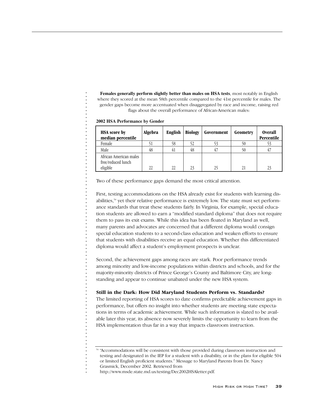**Females generally perform slightly better than males on HSA tests**, most notably in English where they scored at the mean 58th percentile compared to the 41st percentile for males. The gender gaps become more accentuated when disaggregated by race and income, raising red flags about the overall performance of African-American males:

| <b>HSA</b> score by<br>median percentile                 | Algebra | <b>English</b> | <b>Biology</b> | Government | Geometry | <b>Overall</b><br>Percentile |
|----------------------------------------------------------|---------|----------------|----------------|------------|----------|------------------------------|
| Female                                                   |         | 58             |                | 53         | 50       |                              |
| Male                                                     | 48      | 41             | 48             | 47         | 50       |                              |
| African American males<br>free/reduced lunch<br>eligible | 22      | 22.            | 23             | 25         | 21       | 23                           |

**2002 HSA Performance by Gender**

. . . . . . . . . . . . . . . . . . . . . . . . . . . . . . . . . . . . . . . . . . . . . . . . . . . . . . . . . . . . . . . . . . . . . . . . . . . . . . . .

J.

Two of these performance gaps demand the most critical attention.

First, testing accommodations on the HSA already exist for students with learning disabilities,<sup>54</sup> yet their relative performance is extremely low. The state must set performance standards that treat these students fairly. In Virginia, for example, special education students are allowed to earn a "modified standard diploma" that does not require them to pass its exit exams. While this idea has been floated in Maryland as well, many parents and advocates are concerned that a different diploma would consign special education students to a second-class education and weaken efforts to ensure that students with disabilities receive an equal education. Whether this differentiated diploma would affect a student's employment prospects is unclear.

Second, the achievement gaps among races are stark. Poor performance trends among minority and low-income populations within districts and schools, and for the majority-minority districts of Prince George's County and Baltimore City, are longstanding and appear to continue unabated under the new HSA system.

## **Still in the Dark: How Did Maryland Students Perform vs. Standards?**

The limited reporting of HSA scores to date confirms predictable achievement gaps in performance, but offers no insight into whether students are meeting state expectations in terms of academic achievement. While such information is slated to be available later this year, its absence now severely limits the opportunity to learn from the HSA implementation thus far in a way that impacts classroom instruction.

<sup>54</sup> "Accommodations will be consistent with those provided during classroom instruction and testing and designated in the IEP for a student with a disability, or in the plans for eligible 504 or limited English proficient students." Message to Maryland Parents from Dr. Nancy Grasmick, December 2002. Retrieved from

http://www.msde.state.md.us/testing/Dec2002HSAletter.pdf.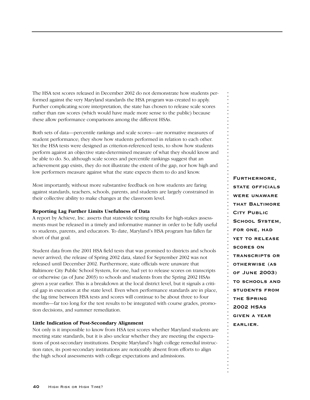The HSA test scores released in December 2002 do not demonstrate how students performed against the very Maryland standards the HSA program was created to apply. Further complicating score interpretation, the state has chosen to release scale scores rather than raw scores (which would have made more sense to the public) because these allow performance comparisons among the different HSAs.

Both sets of data—percentile rankings and scale scores—are normative measures of student performance; they show how students performed in relation to each other. Yet the HSA tests were designed as criterion-referenced tests, to show how students perform against an objective state-determined measure of what they should know and be able to do. So, although scale scores and percentile rankings suggest that an achievement gap exists, they do not illustrate the extent of the gap, nor how high and low performers measure against what the state expects them to do and know.

Most importantly, without more substantive feedback on how students are faring against standards, teachers, schools, parents, and students are largely constrained in their collective ability to make changes at the classroom level.

## **Reporting Lag Further Limits Usefulness of Data**

A report by Achieve, Inc. asserts that statewide testing results for high-stakes assessments must be released in a timely and informative manner in order to be fully useful to students, parents, and educators. To date, Maryland's HSA program has fallen far short of that goal.

Student data from the 2001 HSA field tests that was promised to districts and schools never arrived; the release of Spring 2002 data, slated for September 2002 was not released until December 2002. Furthermore, state officials were unaware that Baltimore City Public School System, for one, had yet to release scores on transcripts or otherwise (as of June 2003) to schools and students from the Spring 2002 HSAs given a year earlier. This is a breakdown at the local district level, but it signals a critical gap in execution at the state level. Even when performance standards are in place, the lag time between HSA tests and scores will continue to be about three to four months—far too long for the test results to be integrated with course grades, promotion decisions, and summer remediation.

## **Little Indication of Post-Secondary Alignment**

Not only is it impossible to know from HSA test scores whether Maryland students are meeting state standards, but it is also unclear whether they are meeting the expectations of post-secondary institutions. Despite Maryland's high college remedial instruction rates, its post-secondary institutions are noticeably absent from efforts to align the high school assessments with college expectations and admissions.

**Furthermore, state officials were unawarethat BaltimoreCity Public School System, for one, had yet to release scores ontranscripts or otherwise (as of June 2003) to schools and students from the Spring2002 HSAsgiven a year earlier.**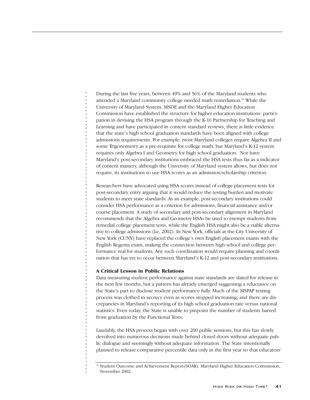During the last five years, between 49% and 56% of the Maryland students who attended a Maryland community college needed math remediation.<sup>55</sup> While the University of Maryland System, MSDE and the Maryland Higher Education Commission have established the structure for higher education institutions' participation in devising the HSA program through the K-16 Partnership for Teaching and Learning and have participated in content standard reviews, there is little evidence that the state's high school graduation standards have been aligned with college admissions requirements. For example, most Maryland colleges require Algebra II and some Trigonometry as a pre-requisite for college math, but Maryland's K-12 system requires only Algebra I and Geometry for high school graduation. Nor have Maryland's post-secondary institutions embraced the HSA tests thus far as a indicator of content mastery, although the University of Maryland system allows, but does not require, its institutions to use HSA scores as an admission/scholarship criterion.

Researchers have advocated using HSA scores instead of college placement tests for post-secondary entry arguing that it would reduce the testing burden and motivate students to meet state standards. As an example, post-secondary institutions could consider HSA performance as a criterion for admissions, financial assistance and/or course placement. A study of secondary and post-secondary alignment in Maryland recommends that the Algebra and Geometry HSAs be used to exempt students from remedial college placement tests, while the English HSA might also be a viable alternative to college admissions (Le, 2002). In New York, officials at the City University of New York (CUNY) have replaced the college's own English placement exams with the English Regents exam, making the connection between high school and college performance real for students. Any such coordination would require planning and coordination that has yet to occur between Maryland's K-12 and post-secondary institutions.

## **A Critical Lesson in Public Relations**

. . . . . . . . . . . . . . . . . . . . . . . . . . . . . . . . . . . . . . . . . . . . . . . . . . . . . . . . . . . . . . . . . . . . . . . . . . . . . . . .

Data measuring student performance against state standards are slated for release in the next few months, but a pattern has already emerged suggesting a reluctance on the State's part to disclose student performance fully. Much of the MSPAP testing process was clothed in secrecy even as scores stopped increasing, and there are discrepancies in Maryland's reporting of its high school graduation rate versus national statistics. Even today, the State is unable to pinpoint the number of students barred from graduation by the Functional Tests.

Laudably, the HSA process began with over 200 public sessions, but this has slowly devolved into numerous decisions made behind closed doors without adequate public dialogue and seemingly without adequate information. The State intentionally planned to release comparative percentile data only in the first year so that educators'

<sup>55</sup> Student Outcome and Achievement Report(SOAR). Maryland Higher Education Commission, November 2002.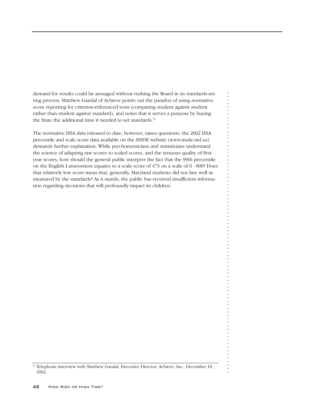demand for results could be assuaged without rushing the Board in its standards-setting process. Matthew Gandal of Achieve points out the paradox of using normative score reporting for criterion-referenced tests (comparing student against student rather than student against standard), and notes that it serves a purpose by buying the State the additional time it needed to set standards.<sup>56</sup>

The normative HSA data released to date, however, raises questions: the 2002 HSA percentile and scale score data available on the MSDE website (www.msde.md.us) demands further explanation. While psychometricians and statisticians understand the science of adapting raw scores to scaled scores, and the tenuous quality of firstyear scores, how should the general public interpret the fact that the 99th percentile on the English I assessment equates to a scale score of 473 on a scale of 0 - 800? Does that relatively low score mean that, generally, Maryland students did not fare well as measured by the standards? As it stands, the public has received insufficient information regarding decisions that will profoundly impact its children.

<sup>56</sup> Telephone interview with Matthew Gandal, Executive Director, Achieve, Inc., December 18, 2002.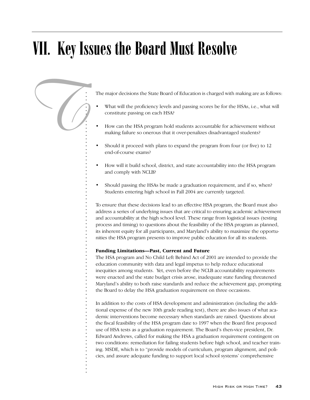# VII. Key Issues the Board Must Resolve



- What will the proficiency levels and passing scores be for the HSAs, i.e., what will constitute passing on each HSA?
- How can the HSA program hold students accountable for achievement without making failure so onerous that it over-penalizes disadvantaged students?
- Should it proceed with plans to expand the program from four (or five) to 12 end-of-course exams?
- How will it build school, district, and state accountability into the HSA program and comply with NCLB?
- Should passing the HSAs be made a graduation requirement, and if so, when? Students entering high school in Fall 2004 are currently targeted.

To ensure that these decisions lead to an effective HSA program, the Board must also address a series of underlying issues that are critical to ensuring academic achievement and accountability at the high school level. These range from logistical issues (testing process and timing) to questions about the feasibility of the HSA program as planned, its inherent equity for all participants, and Maryland's ability to maximize the opportunities the HSA program presents to improve public education for all its students.

## **Funding Limitations—Past, Current and Future**

. . . . . . . . . . . . . . . . . . . . . . . . . . . . . . . . . . . . . . . . . . . . . . . . . . . . . . . . . . . . . . . . . . . . . . . . . . . . . . . .

The HSA program and No Child Left Behind Act of 2001 are intended to provide the education community with data and legal impetus to help reduce educational inequities among students. Yet, even before the NCLB accountability requirements were enacted and the state budget crisis arose, inadequate state funding threatened Maryland's ability to both raise standards and reduce the achievement gap, prompting the Board to delay the HSA graduation requirement on three occasions.

In addition to the costs of HSA development and administration (including the additional expense of the new 10th grade reading test), there are also issues of what academic interventions become necessary when standards are raised. Questions about the fiscal feasibility of the HSA program date to 1997 when the Board first proposed use of HSA tests as a graduation requirement. The Board's then-vice president, Dr. Edward Andrews, called for making the HSA a graduation requirement contingent on two conditions: remediation for failing students before high school, and teacher training. MSDE, which is to "provide models of curriculum, program alignment, and policies, and assure adequate funding to support local school systems' comprehensive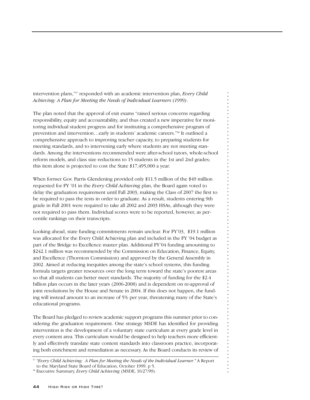intervention plans,"57 responded with an academic intervention plan, *Every Child Achieving: A Plan for Meeting the Needs of Individual Learners (1999)*.

The plan noted that the approval of exit exams "raised serious concerns regarding responsibility, equity and accountability, and thus created a new imperative for monitoring individual student progress and for instituting a comprehensive program of prevention and intervention…early in students' academic careers."58 It outlined a comprehensive approach to improving teacher capacity, to preparing students for meeting standards, and to intervening early where students are not meeting standards. Among the interventions recommended were after-school tutors, whole-school reform models, and class size reductions to 15 students in the 1st and 2nd grades; this item alone is projected to cost the State \$17,495,000 a year.

When former Gov. Parris Glendening provided only \$11.5 million of the \$49 million requested for FY '01 in the *Every Child Achieving* plan, the Board again voted to delay the graduation requirement until Fall 2003, making the Class of 2007 the first to be required to pass the tests in order to graduate. As a result, students entering 9th grade in Fall 2001 were required to take all 2002 and 2003 HSAs, although they were not required to pass them. Individual scores were to be reported, however, as percentile rankings on their transcripts.

Looking ahead, state funding commitments remain unclear. For FY'03, \$19.1 million was allocated for the Every Child Achieving plan and included in the FY '04 budget as part of the Bridge to Excellence master plan. Additional FY'04 funding amounting to \$242.1 million was recommended by the Commission on Education, Finance, Equity, and Excellence (Thornton Commission) and approved by the General Assembly in 2002. Aimed at reducing inequities among the state's school systems, this funding formula targets greater resources over the long term toward the state's poorest areas so that all students can better meet standards. The majority of funding for the \$2.4 billion plan occurs in the later years (2006-2008) and is dependent on re-approval of joint resolutions by the House and Senate in 2004. If this does not happen, the funding will instead amount to an increase of 5% per year, threatening many of the State's educational programs.

. . . . . . . . . . . . . . . . . . . . . . . . . . . . . . . . . . . . . . . . . . . . . . . . . . . . . . . . . . . . . . . . . . . . . . . . . . . . . . . .

The Board has pledged to review academic support programs this summer prior to considering the graduation requirement. One strategy MSDE has identified for providing intervention is the development of a voluntary state curriculum at every grade level in every content area. This curriculum would be designed to help teachers more efficiently and effectively translate state content standards into classroom practice, incorporating both enrichment and remediation as necessary. As the Board conducts its review of

<sup>57</sup> *"Every Child Achieving: A Plan for Meeting the Needs of the Individual Learner."* A Report to the Maryland State Board of Education, October 1999. p 5.

<sup>58</sup> Executive Summary, *Every Child Achieving* (MSDE, 10/27/99).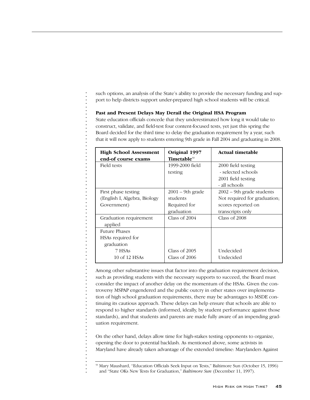such options, an analysis of the State's ability to provide the necessary funding and support to help districts support under-prepared high school students will be critical.

## **Past and Present Delays May Derail the Original HSA Program**

. . . . . . . . . . . . . . . . . . . . . . . . . . . . . . . . . . . . . . . . . . . . . . . . . . . . . . . . . . . . . . . . . . . . . . . . . . . . . . . .

State education officials concede that they underestimated how long it would take to construct, validate, and field-test four content-focused tests, yet just this spring the Board decided for the third time to delay the graduation requirement by a year, such that it will now apply to students entering 9th grade in Fall 2004 and graduating in 2008.

| Original 1997<br><b>Timetable</b> 59 | <b>Actual timetable</b>      |
|--------------------------------------|------------------------------|
| 1999-2000 field                      | 2000 field testing           |
| testing                              | - selected schools           |
|                                      | 2001 field testing           |
|                                      | - all schools                |
| $2001 - 9$ th grade                  | $2002 - 9$ th grade students |
| students                             | Not required for graduation; |
| Required for                         | scores reported on           |
| graduation                           | transcripts only             |
| Class of $2004$                      | Class of 2008                |
|                                      |                              |
|                                      |                              |
|                                      |                              |
|                                      |                              |
| Class of 2005                        | Undecided                    |
| Class of 2006                        | Undecided                    |
|                                      |                              |

Among other substantive issues that factor into the graduation requirement decision, such as providing students with the necessary supports to succeed, the Board must consider the impact of another delay on the momentum of the HSAs. Given the controversy MSPAP engendered and the public outcry in other states over implementation of high school graduation requirements, there may be advantages to MSDE continuing its cautious approach. These delays can help ensure that schools are able to respond to higher standards (informed, ideally, by student performance against those standards), and that students and parents are made fully aware of an impending graduation requirement.

On the other hand, delays allow time for high-stakes testing opponents to organize, opening the door to potential backlash. As mentioned above, some activists in Maryland have already taken advantage of the extended timeline: Marylanders Against

<sup>59</sup> Mary Maushard, "Education Officials Seek Input on Tests," Baltimore Sun (October 15, 1996) and "State OKs New Tests for Graduation," *Baltimore Sun* (December 11, 1997).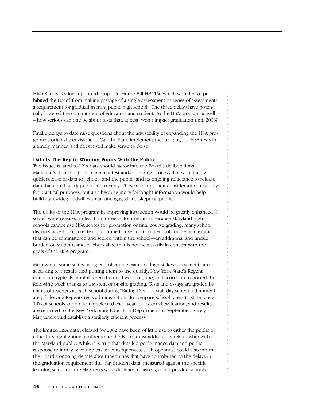High-Stakes Testing supported proposed House Bill HB1166 which would have prohibited the Board from making passage of a single assessment or series of assessments a requirement for graduation from public high school. The three delays have potentially lowered the commitment of educators and students to the HSA program as well – how serious can one be about tests that, at best, won't impact graduation until 2008?

Finally, delays to date raise questions about the advisability of expanding the HSA program as originally envisioned: Can the State implement the full range of HSA tests in a timely manner, and does it still make sense to do so?

## **Data Is The Key to Winning Points With the Public**

Two issues related to HSA data should factor into the Board's deliberations: Maryland's disinclination to create a test and/or scoring process that would allow quick release of data to schools and the public, and its ongoing reluctance to release data that could spark public controversy. These are important considerations not only for practical purposes, but also because more forthright information would help build statewide goodwill with an unengaged and skeptical public.

The utility of the HSA program in improving instruction would be greatly enhanced if scores were released in less than three or four months. Because Maryland high schools cannot use HSA scores for promotion or final course grading, many school districts have had to create or continue to use additional end-of-course final exams that can be administered and scored within the school—an additional and undue burden on students and teachers alike that is not necessarily in concert with the goals of the HSA program.

. . . . . . . . . . . . . . . . . . . . . . . . . . . . . . . . . . . . . . . . . . . . . . . . . . . . . . . . . . . . . . . . . . . . . . . . . . . . . . . .

Meanwhile, some states using end-of-course exams as high-stakes assessments are accessing test results and putting them to use quickly. New York State's Regents exams are typically administered the third week of June, and scores are reported the following week thanks to a system of on-site grading. Tests and essays are graded by teams of teachers at each school during "Rating Day"—a staff day scheduled immediately following Regents tests administration. To compare school raters to state raters, 10% of schools are randomly selected each year for external evaluation, and results are returned to the New York State Education Department by September. Surely Maryland could establish a similarly efficient process.

The limited HSA data released for 2002 have been of little use to either the public or educators highlighting another issue the Board must address: its relationship with the Maryland public. While it is true that detailed performance data and public response to it may have unpleasant consequences, such openness could also inform the Board's ongoing debate about inequities that have contributed to the delays in the graduation requirement thus far. Student data, measured against the specific learning standards the HSA tests were designed to assess, could provide schools,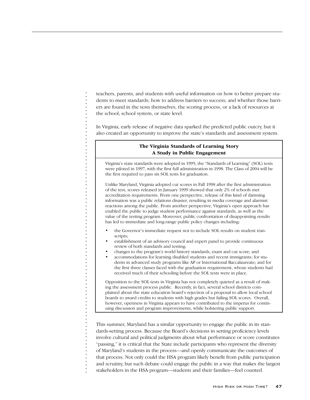teachers, parents, and students with useful information on how to better prepare students to meet standards; how to address barriers to success; and whether those barriers are found in the tests themselves, the scoring process, or a lack of resources at the school, school system, or state level.

In Virginia, early release of negative data sparked the predicted public outcry, but it also created an opportunity to improve the state's standards and assessment system.

## **The Virginia Standards of Learning Story A Study in Public Engagement**

Virginia's state standards were adopted in 1995; the "Standards of Learning" (SOL) tests were piloted in 1997, with the first full administration in 1998. The Class of 2004 will be the first required to pass six SOL tests for graduation.

Unlike Maryland, Virginia adopted cut scores in Fall 1998 after the first administration of the test; scores released in January 1999 showed that only 2% of schools met accreditation requirements. From one perspective, release of this kind of damning information was a public relations disaster, resulting in media coverage and alarmist reactions among the public. From another perspective, Virginia's open approach has enabled the public to judge student performance against standards, as well as the value of the testing program. Moreover, public confrontation of disappointing results has led to immediate and long-range public policy changes including:

- the Governor's immediate request not to include SOL results on student transcripts;
- establishment of an advisory council and expert panel to provide continuous review of both standards and testing;
- changes to the program's world history standards, exam and cut score; and

. . . . . . . . . . . . . . . . . . . . . . . . . . . . . . . . . . . . . . . . . . . . . . . . . . . . . . . . . . . . . . . . . . . . . . . . . . . . . . . .

l,  $\ddot{\cdot}$ 

 $\frac{1}{2}$ 

 $\ddot{\cdot}$ 

J.

l,

J.

 $\frac{1}{2}$ l,  $\frac{1}{2}$ 

 $\frac{1}{2}$  $\blacksquare$ 

 $\blacksquare$ 

 $\blacksquare$ 

÷,

• accommodations for learning disabled students and recent immigrants; for students in advanced study programs like AP or International Baccalaureate; and for the first three classes faced with the graduation requirement, whose students had received much of their schooling before the SOL tests were in place.

Opposition to the SOL tests in Virginia has not completely quieted as a result of making the assessment process public. Recently, in fact, several school districts complained about the state education board's rejection of a proposal to allow local school boards to award credits to students with high grades but failing SOL scores. Overall, however, openness in Virginia appears to have contributed to the impetus for continuing discussion and program improvements, while bolstering public support.

This summer, Maryland has a similar opportunity to engage the public in its standards-setting process. Because the Board's decisions in setting proficiency levels involve cultural and political judgments about what performance or score constitutes "passing," it is critical that the State include participants who represent the diversity of Maryland's students in the process—and openly communicate the outcomes of that process. Not only could the HSA program likely benefit from public participation and scrutiny, but such debate could engage the public in a way that makes the largest stakeholders in the HSA program—students and their families—feel counted.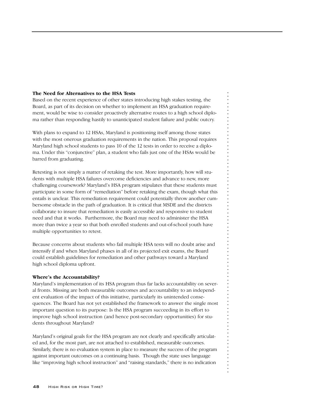## **The Need for Alternatives to the HSA Tests**

Based on the recent experience of other states introducing high stakes testing, the Board, as part of its decision on whether to implement an HSA graduation requirement, would be wise to consider proactively alternative routes to a high school diploma rather than responding hastily to unanticipated student failure and public outcry.

With plans to expand to 12 HSAs, Maryland is positioning itself among those states with the most onerous graduation requirements in the nation. This proposal requires Maryland high school students to pass 10 of the 12 tests in order to receive a diploma. Under this "conjunctive" plan, a student who fails just one of the HSAs would be barred from graduating.

Retesting is not simply a matter of retaking the test. More importantly, how will students with multiple HSA failures overcome deficiencies and advance to new, more challenging coursework? Maryland's HSA program stipulates that these students must participate in some form of "remediation" before retaking the exam, though what this entails is unclear. This remediation requirement could potentially throw another cumbersome obstacle in the path of graduation. It is critical that MSDE and the districts collaborate to insure that remediation is easily accessible and responsive to student need and that it works. Furthermore, the Board may need to administer the HSA more than twice a year so that both enrolled students and out-of-school youth have multiple opportunities to retest.

Because concerns about students who fail multiple HSA tests will no doubt arise and intensify if and when Maryland phases in all of its projected exit exams, the Board could establish guidelines for remediation and other pathways toward a Maryland high school diploma upfront.

. . . . . . . . . . . . . . . . . . . . . . . . . . . . . . . . . . . . . . . . . . . . . . . . . . . . . . . . . . . . . . . . . . . . . . . . . . . . . . . .

## **Where's the Accountability?**

Maryland's implementation of its HSA program thus far lacks accountability on several fronts. Missing are both measurable outcomes and accountability to an independent evaluation of the impact of this initiative, particularly its unintended consequences. The Board has not yet established the framework to answer the single most important question to its purpose: Is the HSA program succeeding in its effort to improve high school instruction (and hence post-secondary opportunities) for students throughout Maryland?

Maryland's original goals for the HSA program are not clearly and specifically articulated and, for the most part, are not attached to established, measurable outcomes. Similarly, there is no evaluation system in place to measure the success of the program against important outcomes on a continuing basis. Though the state uses language like "improving high school instruction" and "raising standards," there is no indication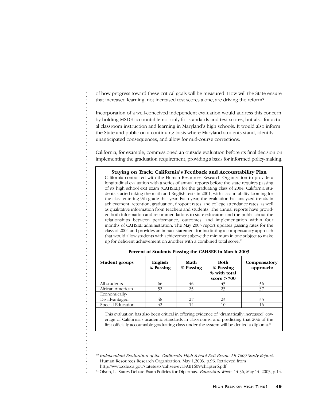of how progress toward these critical goals will be measured. How will the State ensure that increased learning, not increased test scores alone, are driving the reform?

Incorporation of a well-conceived independent evaluation would address this concern by holding MSDE accountable not only for standards and test scores, but also for actual classroom instruction and learning in Maryland's high schools. It would also inform the State and public on a continuing basis where Maryland students stand, identify unanticipated consequences, and allow for mid-course corrections.

California, for example, commissioned an outside evaluation before its final decision on implementing the graduation requirement, providing a basis for informed policy-making.

## **Staying on Track: California's Feedback and Accountability Plan**

California contracted with the Human Resources Research Organization to provide a longitudinal evaluation with a series of annual reports before the state requires passing of its high school exit exam (CAHSEE) for the graduating class of 2004. California students started taking the math and English tests in 2001, with accountability looming for the class entering 9th grade that year. Each year, the evaluation has analyzed trends in achievement, retention, graduation, dropout rates, and college attendance rates, as well as qualitative information from teachers and students. The annual reports have provided both information and recommendations to state educators and the public about the relationships between performance, outcomes, and implementation within four months of CAHSEE administration. The May 2003 report updates passing rates for the class of 2004 and provides an impact statement for instituting a compensatory approach that would allow students with achievement above the minimum in one subject to make up for deficient achievement on another with a combined total score.<sup>60</sup>

| <b>Student groups</b> | English<br>% Passing | Math<br>% Passing | <b>Both</b><br>% Passing<br>% with total<br>score $>700$ | Compensatory<br>approach: |
|-----------------------|----------------------|-------------------|----------------------------------------------------------|---------------------------|
| All students          | 66                   | 46                | 43                                                       |                           |
| African American      | 52                   | 25                | 23                                                       | 37                        |
| Economically-         |                      |                   |                                                          |                           |
| Disadvantaged         | 48                   | 27                | 23                                                       | 35                        |
| Special Education     | 42                   | 14                | 10                                                       | 16                        |

| Percent of Students Passing the CAHSEE in March 2003 |  |  |  |
|------------------------------------------------------|--|--|--|
|------------------------------------------------------|--|--|--|

This evaluation has also been critical in offering evidence of "dramatically increased" coverage of California's academic standards in classrooms, and predicting that 20% of the first officially accountable graduating class under the system will be denied a diploma.<sup>61</sup>

. . . . . . . . . . . . . . . . . . . . . . . . . . . . . . . . . . . . . . . . . . . . . . . . . . . . . . . . . . . . . . . . . . . . . . . . . . . . . . . .

 $\ddot{\cdot}$ 

 $\blacksquare$ 

<sup>60</sup> *Independent Evaluation of the California High School Exit Exam: AB 1609 Study Report*. Human Resources Research Organization, May 1,2003, p.96. Retrieved from

http://www.cde.ca.gov/statetests/cahsee/eval/AB1609/chapter6.pdf

<sup>61</sup> Olson, L. States Debate Exam Policies for Diplomas. *Education Week*: 14:36, May 14, 2003, p.14.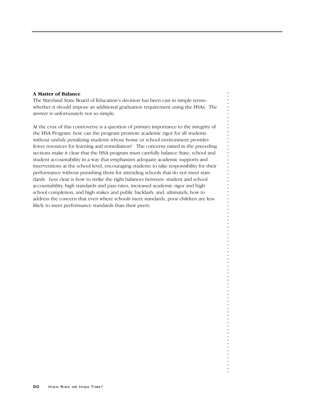## **A Matter of Balance**

The Maryland State Board of Education's decision has been cast in simple terms: whether it should impose an additional graduation requirement using the HSAs. The answer is unfortunately not so simple.

At the crux of this controversy is a question of primary importance to the integrity of the HSA Program: how can the program promote academic rigor for all students without unduly penalizing students whose home or school environment provides fewer resources for learning and remediation? The concerns raised in the preceding sections make it clear that the HSA program must carefully balance State, school and student accountability in a way that emphasizes adequate academic supports and interventions at the school level, encouraging students to take responsibility for their performance without punishing them for attending schools that do not meet standards. Less clear is how to strike the right balances between: student and school accountability, high standards and pass rates, increased academic rigor and high school completion, and high stakes and public backlash; and, ultimately, how to address the concern that even where schools meet standards, poor children are less likely to meet performance standards than their peers.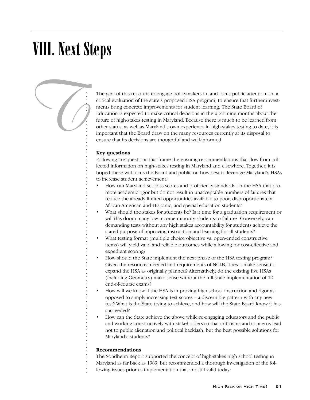# VIII. Next Steps



The goal of this report is to engage policymakers in, and focus public attention on, a critical evaluation of the state's proposed HSA program, to ensure that further investments bring concrete improvements for student learning. The State Board of Education is expected to make critical decisions in the upcoming months about the future of high-stakes testing in Maryland. Because there is much to be learned from other states, as well as Maryland's own experience in high-stakes testing to date, it is important that the Board draw on the many resources currently at its disposal to ensure that its decisions are thoughtful and well-informed.

## **Key questions**

Following are questions that frame the ensuing recommendations that flow from collected information on high-stakes testing in Maryland and elsewhere. Together, it is hoped these will focus the Board and public on how best to leverage Maryland's HSAs to increase student achievement:

- How can Maryland set pass scores and proficiency standards on the HSA that promote academic rigor but do not result in unacceptable numbers of failures that reduce the already limited opportunities available to poor, disproportionately African-American and Hispanic, and special education students?
- What should the stakes for students be? Is it time for a graduation requirement or will this doom many low-income minority students to failure? Conversely, can demanding tests without any high stakes accountability for students achieve the stated purpose of improving instruction and learning for all students?
- What testing format (multiple choice objective vs. open-ended constructive items) will yield valid and reliable outcomes while allowing for cost-effective and expedient scoring?
- How should the State implement the next phase of the HSA testing program? Given the resources needed and requirements of NCLB, does it make sense to expand the HSA as originally planned? Alternatively, do the existing five HSAs (including Geometry) make sense without the full-scale implementation of 12 end-of-course exams?
- How will we know if the HSA is improving high school instruction and rigor as opposed to simply increasing test scores – a discernible pattern with any new test? What is the State trying to achieve, and how will the State Board know it has succeeded?
- How can the State achieve the above while re-engaging educators and the public and working constructively with stakeholders so that criticisms and concerns lead not to public alienation and political backlash, but the best possible solutions for Maryland's students?

## **Recommendations**

The Sondheim Report supported the concept of high-stakes high school testing in Maryland as far back as 1989, but recommended a thorough investigation of the following issues prior to implementation that are still valid today: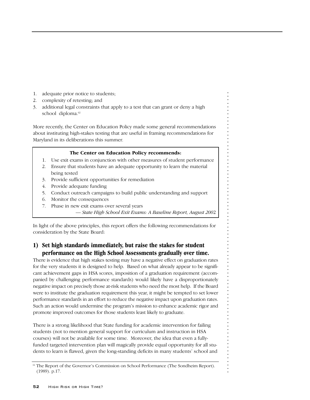- 1. adequate prior notice to students;
- 2. complexity of retesting; and
- 3. additional legal constraints that apply to a test that can grant or deny a high school diploma.<sup>62</sup>

More recently, the Center on Education Policy made some general recommendations about instituting high-stakes testing that are useful in framing recommendations for Maryland in its deliberations this summer.

## **The Center on Education Policy recommends:**

- 1. Use exit exams in conjunction with other measures of student performance
- 2. Ensure that students have an adequate opportunity to learn the material being tested
- 3. Provide sufficient opportunities for remediation
- 4. Provide adequate funding
- 5. Conduct outreach campaigns to build public understanding and support
- 6. Monitor the consequences
- 7. Phase in new exit exams over several years
	- *State High School Exit Exams: A Baseline Report, August 200*2

. . . . . . . . . . . . . . . . . . . . . . . . . . . . . . . . . . . . . . . . . . . . . . . . . . . . . . . . . . . . . . . . . . . . . . . . . . . . . . . .

In light of the above principles, this report offers the following recommendations for consideration by the State Board:

## **1) Set high standards immediately, but raise the stakes for student performance on the High School Assessments gradually over time.**

There is evidence that high stakes testing may have a negative effect on graduation rates for the very students it is designed to help. Based on what already appear to be significant achievement gaps in HSA scores, imposition of a graduation requirement (accompanied by challenging performance standards) would likely have a disproportionately negative impact on precisely those at-risk students who need the most help. If the Board were to institute the graduation requirement this year, it might be tempted to set lower performance standards in an effort to reduce the negative impact upon graduation rates. Such an action would undermine the program's mission to enhance academic rigor and promote improved outcomes for those students least likely to graduate.

There is a strong likelihood that State funding for academic intervention for failing students (not to mention general support for curriculum and instruction in HSA courses) will not be available for some time. Moreover, the idea that even a fullyfunded targeted intervention plan will magically provide equal opportunity for all students to learn is flawed, given the long-standing deficits in many students' school and

 $62$  The Report of the Governor's Commission on School Performance (The Sondheim Report). (1989). p.17.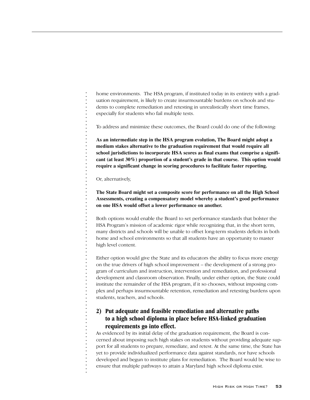home environments. The HSA program, if instituted today in its entirety with a graduation requirement, is likely to create insurmountable burdens on schools and students to complete remediation and retesting in unrealistically short time frames, especially for students who fail multiple tests.

To address and minimize these outcomes, the Board could do one of the following:

**As an intermediate step in the HSA program evolution, The Board might adopt a medium stakes alternative to the graduation requirement that would require all school jurisdictions to incorporate HSA scores as final exams that comprise a significant (at least 30%) proportion of a student's grade in that course. This option would require a significant change in scoring procedures to facilitate faster reporting.**

Or, alternatively,

. . . . . . . . . . . . . . . . . . . . . . . . . . . . . . . . . . . . . . . . . . . . . . . . . . . . . . . . . . . . . . . . . . . . . . . . . . . . . . . .

**The State Board might set a composite score for performance on all the High School Assessments, creating a compensatory model whereby a student's good performance on one HSA would offset a lower performance on another.** 

Both options would enable the Board to set performance standards that bolster the HSA Program's mission of academic rigor while recognizing that, in the short term, many districts and schools will be unable to offset long-term students deficits in both home and school environments so that all students have an opportunity to master high level content.

Either option would give the State and its educators the ability to focus more energy on the true drivers of high school improvement – the development of a strong program of curriculum and instruction, intervention and remediation, and professional development and classroom observation. Finally, under either option, the State could institute the remainder of the HSA program, if it so chooses, without imposing complex and perhaps insurmountable retention, remediation and retesting burdens upon students, teachers, and schools.

## **2) Put adequate and feasible remediation and alternative paths to a high school diploma in place before HSA-linked graduation requirements go into effect.**

As evidenced by its initial delay of the graduation requirement, the Board is concerned about imposing such high stakes on students without providing adequate support for all students to prepare, remediate, and retest. At the same time, the State has yet to provide individualized performance data against standards, nor have schools developed and begun to institute plans for remediation. The Board would be wise to ensure that multiple pathways to attain a Maryland high school diploma exist.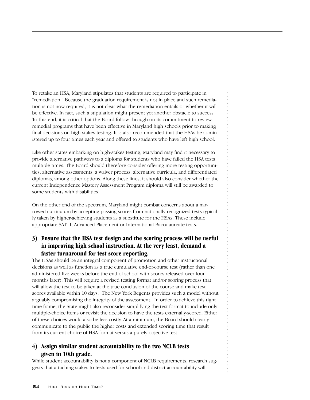To retake an HSA, Maryland stipulates that students are required to participate in "remediation." Because the graduation requirement is not in place and such remediation is not now required, it is not clear what the remediation entails or whether it will be effective. In fact, such a stipulation might present yet another obstacle to success. To this end, it is critical that the Board follow through on its commitment to review remedial programs that have been effective in Maryland high schools prior to making final decisions on high stakes testing. It is also recommended that the HSAs be administered up to four times each year and offered to students who have left high school.

Like other states embarking on high-stakes testing, Maryland may find it necessary to provide alternative pathways to a diploma for students who have failed the HSA tests multiple times. The Board should therefore consider offering more testing opportunities, alternative assessments, a waiver process, alternative curricula, and differentiated diplomas, among other options. Along these lines, it should also consider whether the current Independence Mastery Assessment Program diploma will still be awarded to some students with disabilities.

On the other end of the spectrum, Maryland might combat concerns about a narrowed curriculum by accepting passing scores from nationally recognized tests typically taken by higher-achieving students as a substitute for the HSAs. These include appropriate SAT II, Advanced Placement or International Baccalaureate tests.

## **3) Ensure that the HSA test design and the scoring process will be useful in improving high school instruction. At the very least, demand a faster turnaround for test score reporting.**

. . . . . . . . . . . . . . . . . . . . . . . . . . . . . . . . . . . . . . . . . . . . . . . . . . . . . . . . . . . . . . . . . . . . . . . . . . . . . . . .

The HSAs should be an integral component of promotion and other instructional decisions as well as function as a true cumulative end-of-course test (rather than one administered five weeks before the end of school with scores released over four months later). This will require a revised testing format and/or scoring process that will allow the test to be taken at the true conclusion of the course and make test scores available within 10 days. The New York Regents provides such a model without arguably compromising the integrity of the assessment. In order to achieve this tight time frame, the State might also reconsider simplifying the test format to include only multiple-choice items or revisit the decision to have the tests externally-scored. Either of these choices would also be less costly. At a minimum, the Board should clearly communicate to the public the higher costs and extended scoring time that result from its current choice of HSA format versus a purely objective test.

## **4) Assign similar student accountability to the two NCLB tests given in 10th grade.**

While student accountability is not a component of NCLB requirements, research suggests that attaching stakes to tests used for school and district accountability will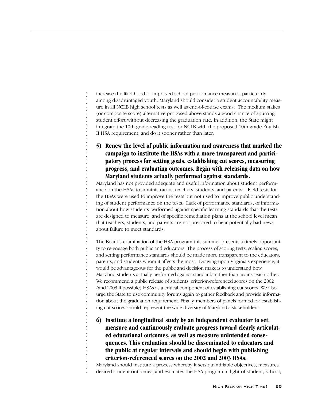increase the likelihood of improved school performance measures, particularly among disadvantaged youth. Maryland should consider a student accountability measure in all NCLB high school tests as well as end-of-course exams. The medium stakes (or composite score) alternative proposed above stands a good chance of spurring student effort without decreasing the graduation rate. In addition, the State might integrate the 10th grade reading test for NCLB with the proposed 10th grade English II HSA requirement, and do it sooner rather than later.

**5) Renew the level of public information and awareness that marked the campaign to institute the HSAs with a more transparent and participatory process for setting goals, establishing cut scores, measuring progress, and evaluating outcomes. Begin with releasing data on how Maryland students actually performed against standards.**

Maryland has not provided adequate and useful information about student performance on the HSAs to administrators, teachers, students, and parents. Field tests for the HSAs were used to improve the tests but not used to improve public understanding of student performance on the tests. Lack of performance standards, of information about how students performed against specific learning standards that the tests are designed to measure, and of specific remediation plans at the school level mean that teachers, students, and parents are not prepared to hear potentially bad news about failure to meet standards.

. . . . . . . . . . . . . . . . . . . . . . . . . . . . . . . . . . . . . . . . . . . . . . . . . . . . . . . . . . . . . . . . . . . . . . . . . . . . . . . .

The Board's examination of the HSA program this summer presents a timely opportunity to re-engage both public and educators. The process of scoring tests, scaling scores, and setting performance standards should be made more transparent to the educators, parents, and students whom it affects the most. Drawing upon Virginia's experience, it would be advantageous for the public and decision makers to understand how Maryland students actually performed against standards rather than against each other. We recommend a public release of students' criterion-referenced scores on the 2002 (and 2003 if possible) HSAs as a critical component of establishing cut scores. We also urge the State to use community forums again to gather feedback and provide information about the graduation requirement. Finally, members of panels formed for establishing cut scores should represent the wide diversity of Maryland's stakeholders.

**6) Institute a longitudinal study by an independent evaluator to set, measure and continuously evaluate progress toward clearly articulated educational outcomes, as well as measure unintended consequences. This evaluation should be disseminated to educators and the public at regular intervals and should begin with publishing criterion-referenced scores on the 2002 and 2003 HSAs.**

Maryland should institute a process whereby it sets quantifiable objectives, measures desired student outcomes, and evaluates the HSA program in light of student, school,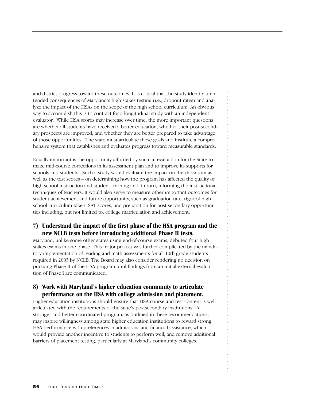and district progress toward these outcomes. It is critical that the study identify unintended consequences of Maryland's high stakes testing (i.e., dropout rates) and analyze the impact of the HSAs on the scope of the high school curriculum. An obvious way to accomplish this is to contract for a longitudinal study with an independent evaluator. While HSA scores may increase over time, the more important questions are whether all students have received a better education, whether their post-secondary prospects are improved, and whether they are better prepared to take advantage of those opportunities. The state must articulate these goals and institute a comprehensive system that establishes and evaluates progress toward measurable standards.

Equally important is the opportunity afforded by such an evaluation for the State to make mid-course corrections in its assessment plan and to improve its supports for schools and students. Such a study would evaluate the impact on the classroom as well as the test scores – on determining how the program has affected the quality of high school instruction and student learning and, in turn, informing the instructional techniques of teachers. It would also serve to measure other important outcomes for student achievement and future opportunity, such as graduation rate, rigor of high school curriculum taken, SAT scores, and preparation for post-secondary opportunities including, but not limited to, college matriculation and achievement.

## **7) Understand the impact of the first phase of the HSA program and the new NCLB tests before introducing additional Phase II tests.**

. . . . . . . . . . . . . . . . . . . . . . . . . . . . . . . . . . . . . . . . . . . . . . . . . . . . . . . . . . . . . . . . . . . . . . . . . . . . . . . .

Maryland, unlike some other states using end-of-course exams, debuted four high stakes exams in one phase. This major project was further complicated by the mandatory implementation of reading and math assessments for all 10th grade students required in 2003 by NCLB. The Board may also consider rendering no decision on pursuing Phase II of the HSA program until findings from an initial external evaluation of Phase I are communicated.

## **8) Work with Maryland's higher education community to articulate performance on the HSA with college admission and placement.**

Higher education institutions should ensure that HSA course and test content is well articulated with the requirements of the state's postsecondary institutions. A stronger and better coordinated program, as outlined in these recommendations, may inspire willingness among state higher education institutions to reward strong HSA performance with preferences in admissions and financial assistance, which would provide another incentive to students to perform well, and remove additional barriers of placement testing, particularly at Maryland's community colleges.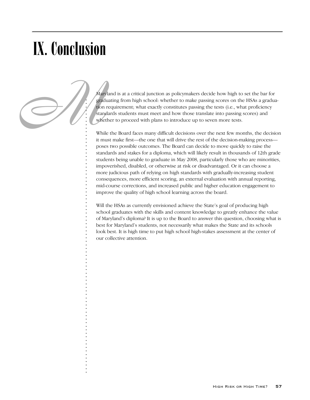# IX. Conclusion

. . . . . . . . . . . . . . . . . . . . . . . . . . . . . . . . . . . . . . . . . . . . . . . . . . . . . . . . . . . . . . . . . . . . . . . . . . . . . . . .

Mary grad<br>
stand<br>
where<br>
Whil<br>
it musliman<br>
it musliman<br>
it musliman<br>
Line Stand<br>
Line Stand<br>
Line Stand<br>
Line Stand<br>
Line Stand<br>
Line Stand<br>
Line Stand<br>
Line Stand<br>
Line Stand<br>
Line Stand<br>
Line Stand<br>
Line Stand<br>
Line Sta Maryland is at a critical junction as policymakers decide how high to set the bar for graduating from high school: whether to make passing scores on the HSAs a graduation requirement; what exactly constitutes passing the tests (i.e., what proficiency standards students must meet and how those translate into passing scores) and whether to proceed with plans to introduce up to seven more tests.

While the Board faces many difficult decisions over the next few months, the decision it must make first—the one that will drive the rest of the decision-making process poses two possible outcomes. The Board can decide to move quickly to raise the standards and stakes for a diploma, which will likely result in thousands of 12th grade students being unable to graduate in May 2008, particularly those who are minorities, impoverished, disabled, or otherwise at risk or disadvantaged. Or it can choose a more judicious path of relying on high standards with gradually-increasing student consequences, more efficient scoring, an external evaluation with annual reporting, mid-course corrections, and increased public and higher education engagement to improve the quality of high school learning across the board.

Will the HSAs as currently envisioned achieve the State's goal of producing high school graduates with the skills and content knowledge to greatly enhance the value of Maryland's diploma? It is up to the Board to answer this question, choosing what is best for Maryland's students, not necessarily what makes the State and its schools look best. It is high time to put high school high-stakes assessment at the center of our collective attention.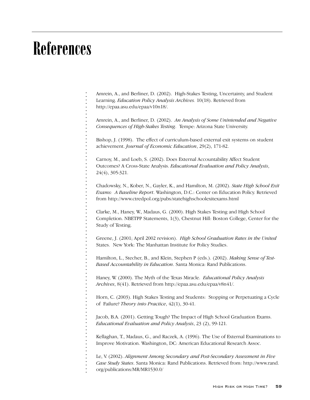## References

. . . . . . . . . . . . . . . . . . . . . . . . . . . . . . . . . . . . . . . . . . . . . . . . . . . . . . . . . . . . . . . . . . . . . . . . . . . . . . . .

Amrein, A., and Berliner, D. (2002). High-Stakes Testing, Uncertainty, and Student Learning. *Education Policy Analysis Archives.* 10(18). Retrieved from http://epaa.asu.edu/epaa/v10n18/.

Amrein, A., and Berliner, D. (2002). *An Analysis of Some Unintended and Negative Consequences of High-Stakes Testing*. Tempe: Arizona State University.

Bishop, J. (1998). The effect of curriculum-based external exit systems on student achievement. *Journal of Economic Education*, 29(2), 171-82.

Carnoy, M., and Loeb, S. (2002). Does External Accountability Affect Student Outcomes? A Cross-State Analysis. *Educational Evaluation and Policy Analysis*, 24(4), 305-321.

Chadowsky, N., Kober, N., Gayler, K., and Hamilton, M. (2002). *State High School Exit Exams: A Baseline Report*. Washington, D.C.: Center on Education Policy. Retrieved from http://www.ctredpol.org/pubs/statehighschoolexitexams.html

Clarke, M., Haney, W., Madaus, G. (2000). High Stakes Testing and High School Completion. NBETPP Statements, 1(3), Chestnut Hill: Boston College, Center for the Study of Testing.

Greene, J. (2001; April 2002 revision). *High School Graduation Rates in the United* States. New York: The Manhattan Institute for Policy Studies.

Hamilton, L., Stecher, B., and Klein, Stephen P (eds.). (2002). *Making Sense of Test-Based Accountability in Education*. Santa Monica: Rand Publications.

Haney, W. (2000). The Myth of the Texas Miracle. *Educational Policy Analysis Archives*, 8(41). Retrieved from http://epaa.asu.edu/epaa/v8n41/.

Horn, C. (2003). High Stakes Testing and Students: Stopping or Perpetuating a Cycle of Failure? *Theory into Practice*, 42(1), 30-41.

Jacob, B.A. (2001). Getting Tough? The Impact of High School Graduation Exams. *Educational Evaluation and Policy Analysis*, 23 (2), 99-121.

Kellaghan, T., Madaus, G., and Raczek, A. (1996). The Use of External Examinations to Improve Motivation. Washington, DC: American Educational Research Assoc.

Le, V. (2002). *Alignment Among Secondary and Post-Secondary Assessment in Five Case Study States*. Santa Monica: Rand Publications. Retrieved from: http://www.rand. org/publications/MR/MR1530.0/